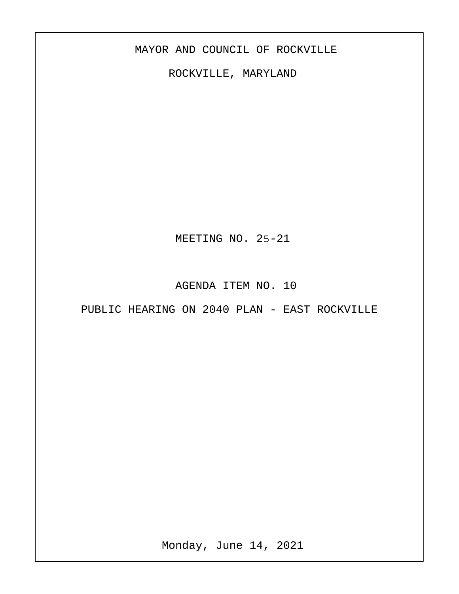## MAYOR AND COUNCIL OF ROCKVILLE

ROCKVILLE, MARYLAND

MEETING NO. 25-21

AGENDA ITEM NO. 10

PUBLIC HEARING ON 2040 PLAN - EAST ROCKVILLE

Monday, June 14, 2021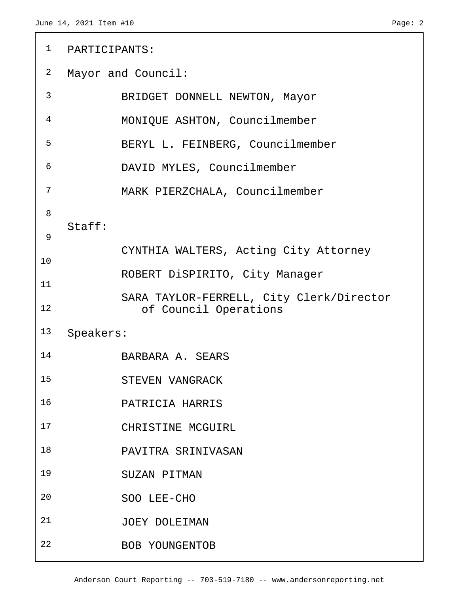| 1              | PARTICIPANTS:                                                     |
|----------------|-------------------------------------------------------------------|
| $\overline{a}$ | Mayor and Council:                                                |
| 3              | BRIDGET DONNELL NEWTON, Mayor                                     |
| 4              | MONIQUE ASHTON, Councilmember                                     |
| 5              | BERYL L. FEINBERG, Councilmember                                  |
| 6              | DAVID MYLES, Councilmember                                        |
| 7              | MARK PIERZCHALA, Councilmember                                    |
| 8              |                                                                   |
| 9              | Staff:                                                            |
| 10             | CYNTHIA WALTERS, Acting City Attorney                             |
| 11             | ROBERT DiSPIRITO, City Manager                                    |
| 12             | SARA TAYLOR-FERRELL, City Clerk/Director<br>of Council Operations |
| 13             | Speakers:                                                         |
| 14             | BARBARA A. SEARS                                                  |
| 15             | STEVEN VANGRACK                                                   |
| 16             | PATRICIA HARRIS                                                   |
| 17             | CHRISTINE MCGUIRL                                                 |
| 18             | PAVITRA SRINIVASAN                                                |
| 19             | SUZAN PITMAN                                                      |
| 20             |                                                                   |
|                | SOO LEE-CHO                                                       |
| 21             | JOEY DOLEIMAN                                                     |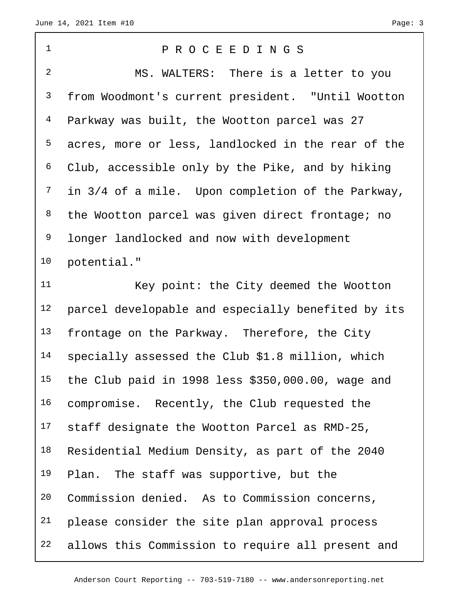| $\mathbf 1$    | PROCEEDINGS                                        |
|----------------|----------------------------------------------------|
| $\overline{2}$ | MS. WALTERS: There is a letter to you              |
| $\mathsf{3}$   | from Woodmont's current president. "Until Wootton  |
| $\overline{4}$ | Parkway was built, the Wootton parcel was 27       |
| 5              | acres, more or less, landlocked in the rear of the |
| 6              | Club, accessible only by the Pike, and by hiking   |
| 7              | in 3/4 of a mile. Upon completion of the Parkway,  |
| 8              | the Wootton parcel was given direct frontage; no   |
| 9              | longer landlocked and now with development         |
| 10             | potential."                                        |
| 11             | Key point: the City deemed the Wootton             |
| 12             | parcel developable and especially benefited by its |
| 13             | frontage on the Parkway. Therefore, the City       |
| 14             | specially assessed the Club \$1.8 million, which   |
| 15             | the Club paid in 1998 less \$350,000.00, wage and  |
| 16             | compromise. Recently, the Club requested the       |
| 17             | staff designate the Wootton Parcel as RMD-25,      |
| 18             | Residential Medium Density, as part of the 2040    |
| 19             | Plan. The staff was supportive, but the            |
| 20             | Commission denied. As to Commission concerns,      |
| 21             | please consider the site plan approval process     |
| 22             | allows this Commission to require all present and  |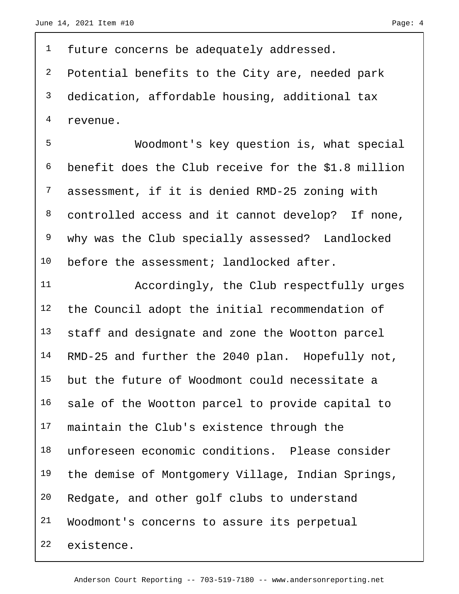future concerns be adequately addressed. Potential benefits to the City are, needed park dedication, affordable housing, additional tax revenue. Woodmont's key question is, what special benefit does the Club receive for the \$1.8 million assessment, if it is denied RMD-25 zoning with controlled access and it cannot develop? If none, why was the Club specially assessed? Landlocked 10 before the assessment; landlocked after. Accordingly, the Club respectfully urges the Council adopt the initial recommendation of 13 staff and designate and zone the Wootton parcel RMD-25 and further the 2040 plan. Hopefully not, but the future of Woodmont could necessitate a sale of the Wootton parcel to provide capital to maintain the Club's existence through the unforeseen economic conditions. Please consider 19 the demise of Montgomery Village, Indian Springs, Redgate, and other golf clubs to understand

Woodmont's concerns to assure its perpetual

existence.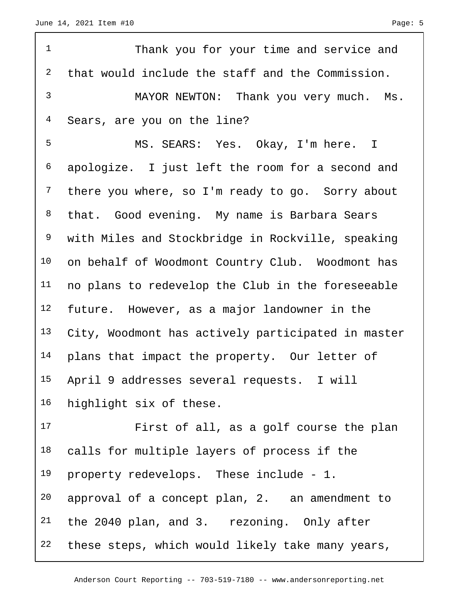| $\mathbf 1$    | Thank you for your time and service and            |
|----------------|----------------------------------------------------|
| $\overline{a}$ | that would include the staff and the Commission.   |
| $\mathsf{3}$   | MAYOR NEWTON: Thank you very much. Ms.             |
| 4              | Sears, are you on the line?                        |
| 5              | MS. SEARS: Yes. Okay, I'm here. I                  |
| 6              | apologize. I just left the room for a second and   |
| 7              | there you where, so I'm ready to go. Sorry about   |
| $\,8\,$        | that. Good evening. My name is Barbara Sears       |
| 9              | with Miles and Stockbridge in Rockville, speaking  |
| 10             | on behalf of Woodmont Country Club. Woodmont has   |
| 11             | no plans to redevelop the Club in the foreseeable  |
| 12             | future. However, as a major landowner in the       |
| 13             | City, Woodmont has actively participated in master |
| 14             | plans that impact the property. Our letter of      |
| 15             | April 9 addresses several requests. I will         |
| 16             | highlight six of these.                            |
| 17             | First of all, as a golf course the plan            |
| 18             | calls for multiple layers of process if the        |
| 19             | property redevelops. These include - 1.            |

 approval of a concept plan, 2. an amendment to the 2040 plan, and 3. rezoning. Only after these steps, which would likely take many years,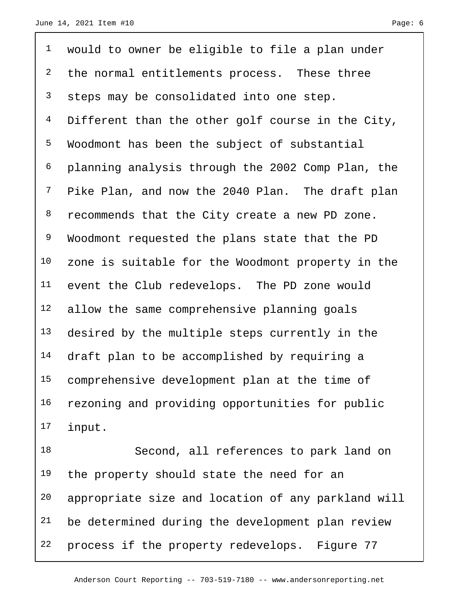would to owner be eligible to file a plan under <sup>2</sup> the normal entitlements process. These three 3 steps may be consolidated into one step. 4 Different than the other golf course in the City, Woodmont has been the subject of substantial planning analysis through the 2002 Comp Plan, the Pike Plan, and now the 2040 Plan. The draft plan recommends that the City create a new PD zone. Woodmont requested the plans state that the PD zone is suitable for the Woodmont property in the event the Club redevelops. The PD zone would allow the same comprehensive planning goals 13 desired by the multiple steps currently in the 14 draft plan to be accomplished by requiring a comprehensive development plan at the time of rezoning and providing opportunities for public input.

 Second, all references to park land on 19 the property should state the need for an appropriate size and location of any parkland will be determined during the development plan review 22 process if the property redevelops. Figure 77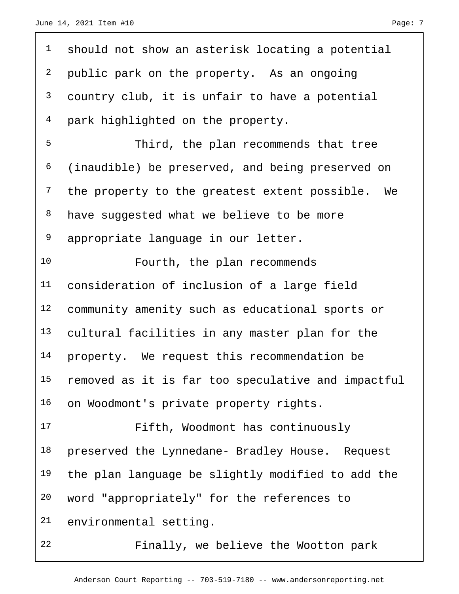| $\mathbf{1}$   | should not show an asterisk locating a potential    |
|----------------|-----------------------------------------------------|
| $\overline{a}$ | public park on the property. As an ongoing          |
| $\mathsf{3}$   | country club, it is unfair to have a potential      |
| $\overline{4}$ | park highlighted on the property.                   |
| 5              | Third, the plan recommends that tree                |
| 6              | (inaudible) be preserved, and being preserved on    |
| $7\phantom{.}$ | the property to the greatest extent possible.<br>We |
| 8              | have suggested what we believe to be more           |
| 9              | appropriate language in our letter.                 |
| 10             | Fourth, the plan recommends                         |
| 11             | consideration of inclusion of a large field         |
| 12             | community amenity such as educational sports or     |
| 13             | cultural facilities in any master plan for the      |
| 14             | property. We request this recommendation be         |
| 15             | removed as it is far too speculative and impactful  |
| 16             | on Woodmont's private property rights.              |
| 17             | Fifth, Woodmont has continuously                    |
| 18             | preserved the Lynnedane- Bradley House. Request     |
| 19             | the plan language be slightly modified to add the   |
| 20             | word "appropriately" for the references to          |
| 21             | environmental setting.                              |
| 22             | Finally, we believe the Wootton park                |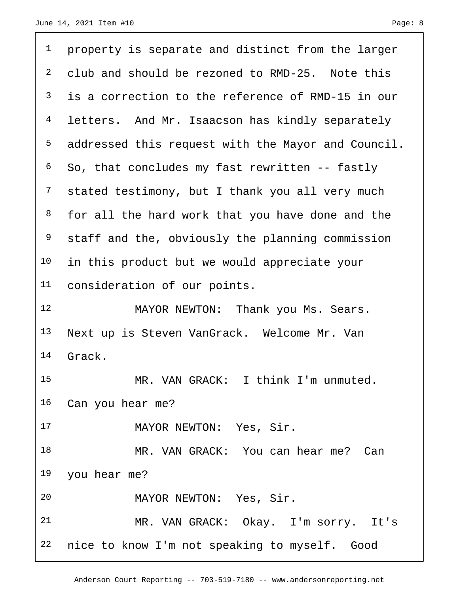property is separate and distinct from the larger club and should be rezoned to RMD-25. Note this is a correction to the reference of RMD-15 in our 4 letters. And Mr. Isaacson has kindly separately addressed this request with the Mayor and Council. So, that concludes my fast rewritten -- fastly <sup>7</sup> stated testimony, but I thank you all very much for all the hard work that you have done and the <sup>9</sup> staff and the, obviously the planning commission in this product but we would appreciate your consideration of our points. 12 MAYOR NEWTON: Thank you Ms. Sears. Next up is Steven VanGrack. Welcome Mr. Van Grack. MR. VAN GRACK: I think I'm unmuted. Can you hear me? 17 MAYOR NEWTON: Yes, Sir. MR. VAN GRACK: You can hear me? Can you hear me? MAYOR NEWTON: Yes, Sir. MR. VAN GRACK: Okay. I'm sorry. It's nice to know I'm not speaking to myself. Good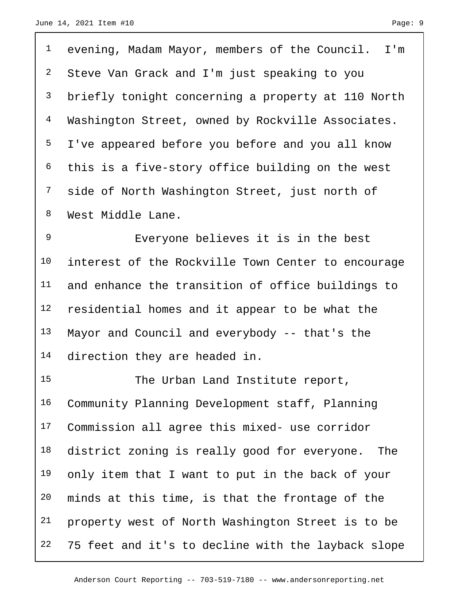| $\mathbf 1$    | evening, Madam Mayor, members of the Council. I'm   |
|----------------|-----------------------------------------------------|
| $\overline{a}$ | Steve Van Grack and I'm just speaking to you        |
| 3              | briefly tonight concerning a property at 110 North  |
| $\overline{4}$ | Washington Street, owned by Rockville Associates.   |
| 5              | I've appeared before you before and you all know    |
| 6              | this is a five-story office building on the west    |
| $7\phantom{.}$ | side of North Washington Street, just north of      |
| 8              | West Middle Lane.                                   |
| $\mathsf 9$    | Everyone believes it is in the best                 |
| 10             | interest of the Rockville Town Center to encourage  |
| 11             | and enhance the transition of office buildings to   |
| 12             | residential homes and it appear to be what the      |
| 13             | Mayor and Council and everybody -- that's the       |
| 14             | direction they are headed in.                       |
| 15             | The Urban Land Institute report,                    |
| 16             | Community Planning Development staff, Planning      |
| 17             | Commission all agree this mixed- use corridor       |
| 18             | district zoning is really good for everyone.<br>The |
| 19             | only item that I want to put in the back of your    |
| 20             | minds at this time, is that the frontage of the     |
| 21             | property west of North Washington Street is to be   |

75 feet and it's to decline with the layback slope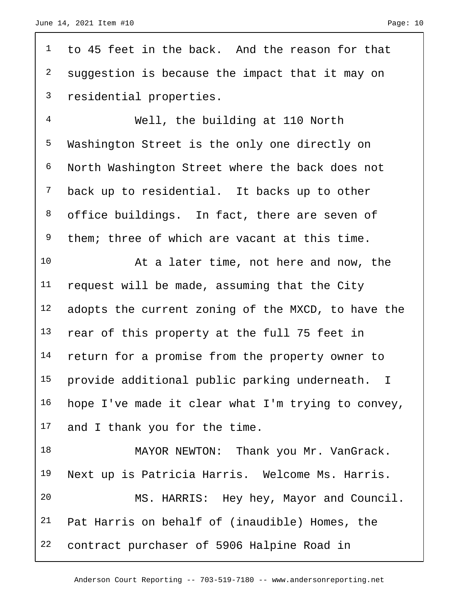| $\mathbf 1$     | to 45 feet in the back. And the reason for that    |
|-----------------|----------------------------------------------------|
| $\overline{a}$  | suggestion is because the impact that it may on    |
| 3               | residential properties.                            |
| $\overline{4}$  | Well, the building at 110 North                    |
| 5               | Washington Street is the only one directly on      |
| 6               | North Washington Street where the back does not    |
| $7\overline{ }$ | back up to residential. It backs up to other       |
| 8               | office buildings. In fact, there are seven of      |
| 9               | them; three of which are vacant at this time.      |
| 10              | At a later time, not here and now, the             |
| 11              | request will be made, assuming that the City       |
| 12              | adopts the current zoning of the MXCD, to have the |
| 13              | rear of this property at the full 75 feet in       |
| 14              | return for a promise from the property owner to    |
| 15              | provide additional public parking underneath. I    |
| 16              | hope I've made it clear what I'm trying to convey, |
| 17              | and I thank you for the time.                      |
| 18              | MAYOR NEWTON: Thank you Mr. VanGrack.              |
| 19              | Next up is Patricia Harris. Welcome Ms. Harris.    |
| 20              | MS. HARRIS: Hey hey, Mayor and Council.            |
| 21              | Pat Harris on behalf of (inaudible) Homes, the     |
| 22              | contract purchaser of 5906 Halpine Road in         |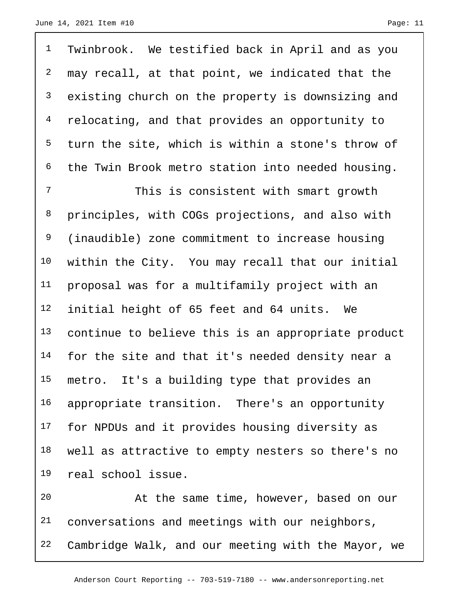<sup>1</sup> Twinbrook. We testified back in April and as you 2 may recall, at that point, we indicated that the existing church on the property is downsizing and relocating, and that provides an opportunity to turn the site, which is within a stone's throw of the Twin Brook metro station into needed housing. This is consistent with smart growth principles, with COGs projections, and also with (inaudible) zone commitment to increase housing within the City. You may recall that our initial

 proposal was for a multifamily project with an initial height of 65 feet and 64 units. We continue to believe this is an appropriate product 14 for the site and that it's needed density near a metro. It's a building type that provides an 16 appropriate transition. There's an opportunity 17 for NPDUs and it provides housing diversity as well as attractive to empty nesters so there's no real school issue.

 At the same time, however, based on our 21 conversations and meetings with our neighbors, Cambridge Walk, and our meeting with the Mayor, we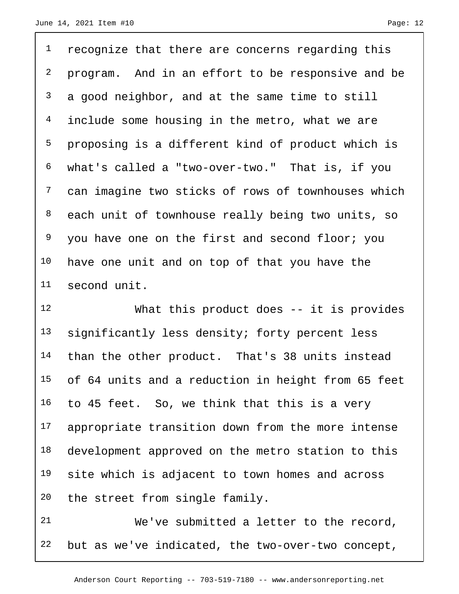recognize that there are concerns regarding this program. And in an effort to be responsive and be a good neighbor, and at the same time to still 4 include some housing in the metro, what we are proposing is a different kind of product which is what's called a "two-over-two." That is, if you can imagine two sticks of rows of townhouses which each unit of townhouse really being two units, so <sup>9</sup> you have one on the first and second floor; you have one unit and on top of that you have the second unit.

 What this product does -- it is provides 13 significantly less density; forty percent less than the other product. That's 38 units instead of 64 units and a reduction in height from 65 feet to 45 feet. So, we think that this is a very appropriate transition down from the more intense 18 development approved on the metro station to this site which is adjacent to town homes and across the street from single family.

 We've submitted a letter to the record, but as we've indicated, the two-over-two concept,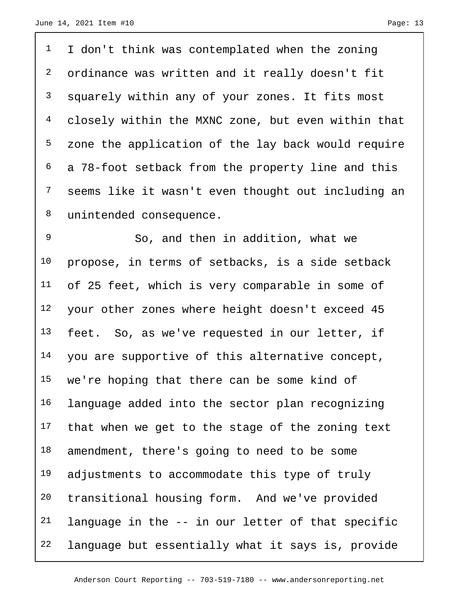I don't think was contemplated when the zoning ordinance was written and it really doesn't fit squarely within any of your zones. It fits most closely within the MXNC zone, but even within that zone the application of the lay back would require a 78-foot setback from the property line and this seems like it wasn't even thought out including an unintended consequence.

 So, and then in addition, what we propose, in terms of setbacks, is a side setback of 25 feet, which is very comparable in some of your other zones where height doesn't exceed 45 feet. So, as we've requested in our letter, if 14 you are supportive of this alternative concept, we're hoping that there can be some kind of language added into the sector plan recognizing 17 that when we get to the stage of the zoning text amendment, there's going to need to be some 19 adjustments to accommodate this type of truly transitional housing form. And we've provided language in the  $-$  in our letter of that specific language but essentially what it says is, provide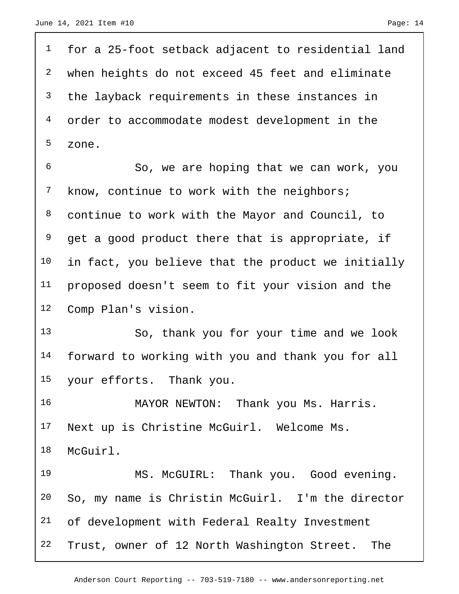for a 25-foot setback adjacent to residential land when heights do not exceed 45 feet and eliminate the layback requirements in these instances in order to accommodate modest development in the zone.

 So, we are hoping that we can work, you 7 know, continue to work with the neighbors; continue to work with the Mayor and Council, to get a good product there that is appropriate, if 10 in fact, you believe that the product we initially proposed doesn't seem to fit your vision and the Comp Plan's vision.

 So, thank you for your time and we look forward to working with you and thank you for all your efforts. Thank you.

16 MAYOR NEWTON: Thank you Ms. Harris. 17 Next up is Christine McGuirl. Welcome Ms. McGuirl.

 MS. McGUIRL: Thank you. Good evening. So, my name is Christin McGuirl. I'm the director of development with Federal Realty Investment Trust, owner of 12 North Washington Street. The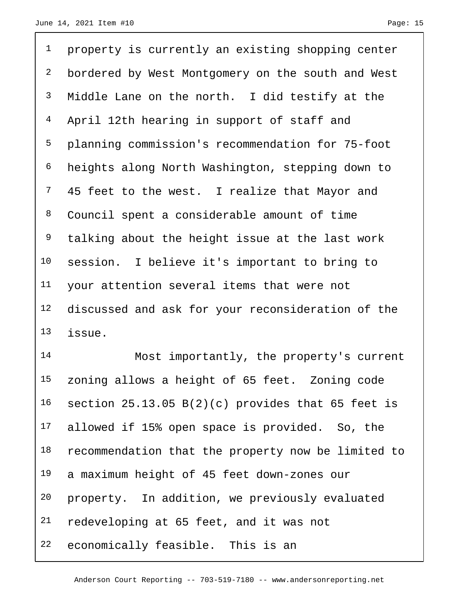<sup>1</sup> property is currently an existing shopping center bordered by West Montgomery on the south and West Middle Lane on the north. I did testify at the April 12th hearing in support of staff and planning commission's recommendation for 75-foot heights along North Washington, stepping down to 7 45 feet to the west. I realize that Mayor and Council spent a considerable amount of time talking about the height issue at the last work session. I believe it's important to bring to your attention several items that were not discussed and ask for your reconsideration of the issue.

 Most importantly, the property's current zoning allows a height of 65 feet. Zoning code 16 section 25.13.05 B(2)(c) provides that 65 feet is allowed if 15% open space is provided. So, the recommendation that the property now be limited to a maximum height of 45 feet down-zones our property. In addition, we previously evaluated redeveloping at 65 feet, and it was not economically feasible. This is an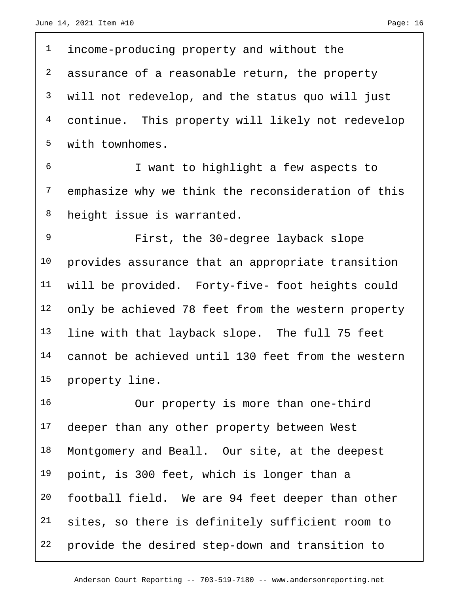<sup>1</sup> income-producing property and without the <sup>2</sup> assurance of a reasonable return, the property will not redevelop, and the status quo will just continue. This property will likely not redevelop with townhomes.

 I want to highlight a few aspects to emphasize why we think the reconsideration of this height issue is warranted.

9 First, the 30-degree layback slope provides assurance that an appropriate transition will be provided. Forty-five- foot heights could only be achieved 78 feet from the western property 13 line with that layback slope. The full 75 feet cannot be achieved until 130 feet from the western property line.

 Our property is more than one-third 17 deeper than any other property between West 18 Montgomery and Beall. Our site, at the deepest point, is 300 feet, which is longer than a football field. We are 94 feet deeper than other sites, so there is definitely sufficient room to provide the desired step-down and transition to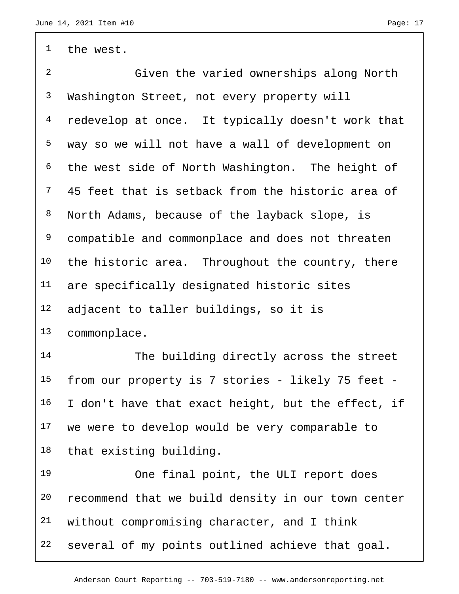the west.

 Given the varied ownerships along North Washington Street, not every property will redevelop at once. It typically doesn't work that way so we will not have a wall of development on the west side of North Washington. The height of 45 feet that is setback from the historic area of North Adams, because of the layback slope, is 9 compatible and commonplace and does not threaten 10 the historic area. Throughout the country, there are specifically designated historic sites adjacent to taller buildings, so it is commonplace.

 The building directly across the street from our property is 7 stories - likely 75 feet - I don't have that exact height, but the effect, if 17 we were to develop would be very comparable to that existing building.

 One final point, the ULI report does recommend that we build density in our town center without compromising character, and I think several of my points outlined achieve that goal.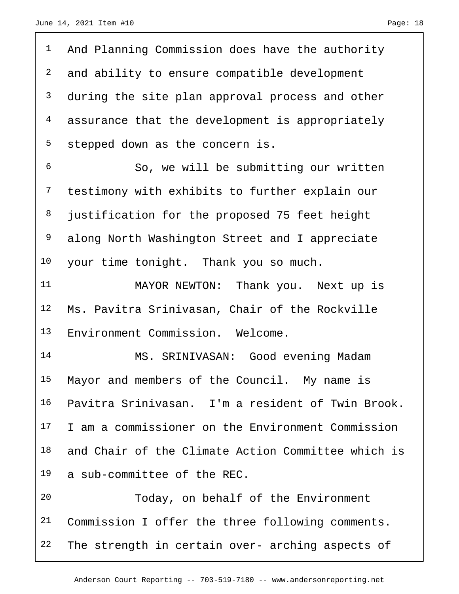| $\mathbf 1$     | And Planning Commission does have the authority    |
|-----------------|----------------------------------------------------|
| 2               | and ability to ensure compatible development       |
| $\mathsf{3}$    | during the site plan approval process and other    |
| $\overline{4}$  | assurance that the development is appropriately    |
| 5               | stepped down as the concern is.                    |
| 6               | So, we will be submitting our written              |
| $\overline{7}$  | testimony with exhibits to further explain our     |
| 8               | justification for the proposed 75 feet height      |
| 9               | along North Washington Street and I appreciate     |
| 10              | your time tonight. Thank you so much.              |
| 11              | MAYOR NEWTON: Thank you. Next up is                |
| 12              | Ms. Pavitra Srinivasan, Chair of the Rockville     |
| 13              | Environment Commission. Welcome.                   |
| 14              | MS. SRINIVASAN: Good evening Madam                 |
| 15 <sub>1</sub> | Mayor and members of the Council. My name is       |
| 16              | Pavitra Srinivasan. I'm a resident of Twin Brook.  |
| 17              | I am a commissioner on the Environment Commission  |
| 18              | and Chair of the Climate Action Committee which is |
| 19              | a sub-committee of the REC.                        |
| 20              | Today, on behalf of the Environment                |
| 21              | Commission I offer the three following comments.   |
| 22              | The strength in certain over- arching aspects of   |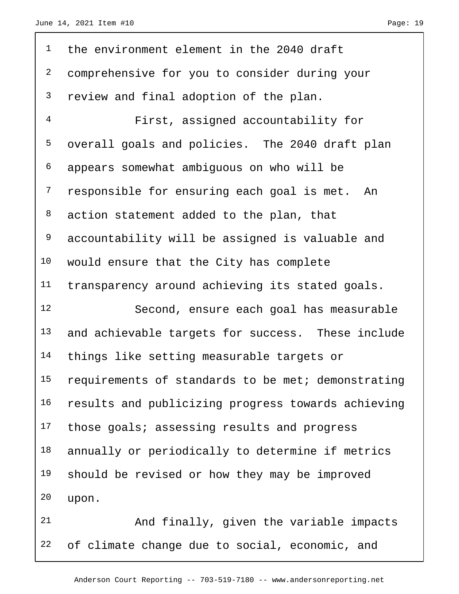| 1              | the environment element in the 2040 draft          |
|----------------|----------------------------------------------------|
| $\overline{a}$ | comprehensive for you to consider during your      |
| 3              | review and final adoption of the plan.             |
| $\overline{4}$ | First, assigned accountability for                 |
| 5              | overall goals and policies. The 2040 draft plan    |
| 6              | appears somewhat ambiguous on who will be          |
| 7              | responsible for ensuring each goal is met. An      |
| 8              | action statement added to the plan, that           |
| 9              | accountability will be assigned is valuable and    |
| 10             | would ensure that the City has complete            |
| 11             | transparency around achieving its stated goals.    |
| 12             | Second, ensure each goal has measurable            |
| 13             | and achievable targets for success. These include  |
| 14             | things like setting measurable targets or          |
| 15             | requirements of standards to be met; demonstrating |
| 16             | results and publicizing progress towards achieving |
| 17             | those goals; assessing results and progress        |
| 18             | annually or periodically to determine if metrics   |
| 19             | should be revised or how they may be improved      |
| 20             | upon.                                              |
| 21             | And finally, given the variable impacts            |

of climate change due to social, economic, and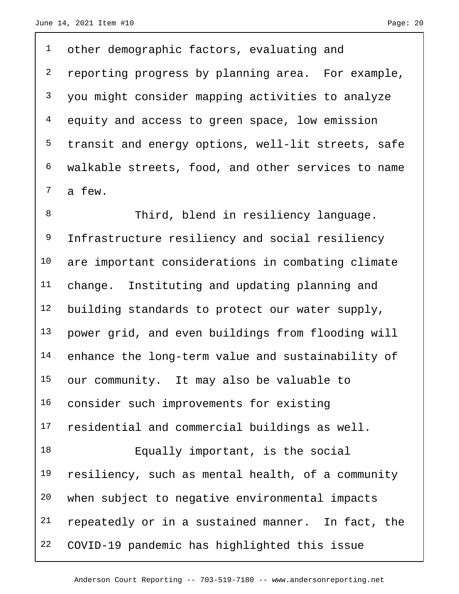1 other demographic factors, evaluating and <sup>2</sup> reporting progress by planning area. For example, you might consider mapping activities to analyze equity and access to green space, low emission transit and energy options, well-lit streets, safe walkable streets, food, and other services to name a few.

8 Third, blend in resiliency language. Infrastructure resiliency and social resiliency are important considerations in combating climate change. Instituting and updating planning and building standards to protect our water supply, power grid, and even buildings from flooding will enhance the long-term value and sustainability of our community. It may also be valuable to 16 consider such improvements for existing 17 residential and commercial buildings as well. Equally important, is the social resiliency, such as mental health, of a community when subject to negative environmental impacts repeatedly or in a sustained manner. In fact, the COVID-19 pandemic has highlighted this issue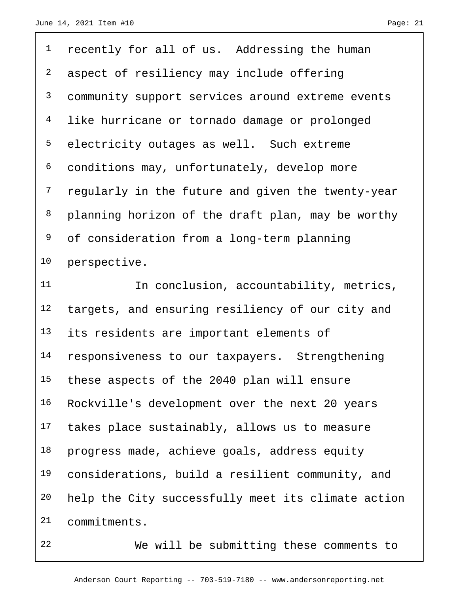recently for all of us. Addressing the human 2 aspect of resiliency may include offering community support services around extreme events like hurricane or tornado damage or prolonged electricity outages as well. Such extreme conditions may, unfortunately, develop more regularly in the future and given the twenty-year planning horizon of the draft plan, may be worthy of consideration from a long-term planning perspective.

11 11 In conclusion, accountability, metrics, 12 targets, and ensuring resiliency of our city and 13 its residents are important elements of 14 responsiveness to our taxpayers. Strengthening these aspects of the 2040 plan will ensure Rockville's development over the next 20 years takes place sustainably, allows us to measure progress made, achieve goals, address equity considerations, build a resilient community, and help the City successfully meet its climate action commitments.

We will be submitting these comments to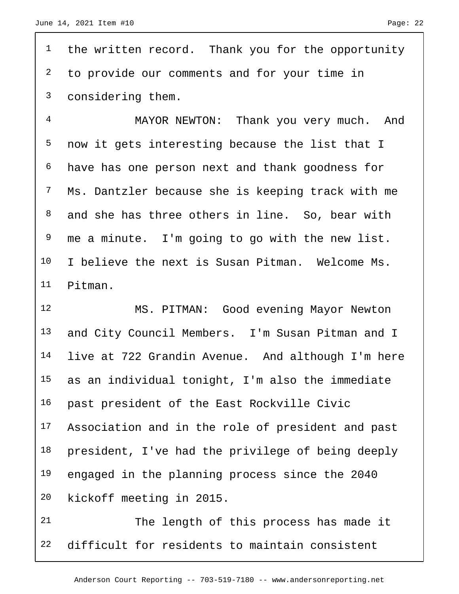the written record. Thank you for the opportunity <sup>2</sup> to provide our comments and for your time in considering them.

 MAYOR NEWTON: Thank you very much. And now it gets interesting because the list that I have has one person next and thank goodness for Ms. Dantzler because she is keeping track with me and she has three others in line. So, bear with <sup>9</sup> me a minute. I'm going to go with the new list. I believe the next is Susan Pitman. Welcome Ms. Pitman.

 MS. PITMAN: Good evening Mayor Newton and City Council Members. I'm Susan Pitman and I live at 722 Grandin Avenue. And although I'm here as an individual tonight, I'm also the immediate past president of the East Rockville Civic 17 Association and in the role of president and past president, I've had the privilege of being deeply engaged in the planning process since the 2040 kickoff meeting in 2015.

 The length of this process has made it difficult for residents to maintain consistent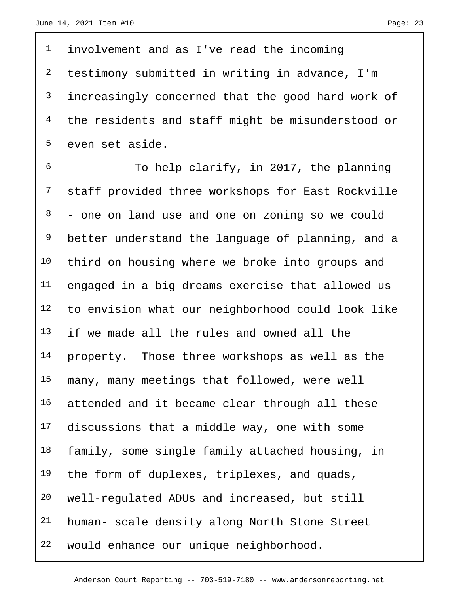<sup>1</sup> involvement and as I've read the incoming 2 testimony submitted in writing in advance, I'm 3 increasingly concerned that the good hard work of 4 the residents and staff might be misunderstood or 5 even set aside.

 6 To help clarify, in 2017, the planning 7 staff provided three workshops for East Rockville  $8 -$  one on land use and one on zoning so we could 9 better understand the language of planning, and a 10 third on housing where we broke into groups and 11 engaged in a big dreams exercise that allowed us 12 to envision what our neighborhood could look like 13 if we made all the rules and owned all the 14 property. Those three workshops as well as the 15 many, many meetings that followed, were well 16 attended and it became clear through all these 17 discussions that a middle way, one with some 18 family, some single family attached housing, in <sup>19</sup> the form of duplexes, triplexes, and quads, 20 well-regulated ADUs and increased, but still 21 human- scale density along North Stone Street 22 would enhance our unique neighborhood.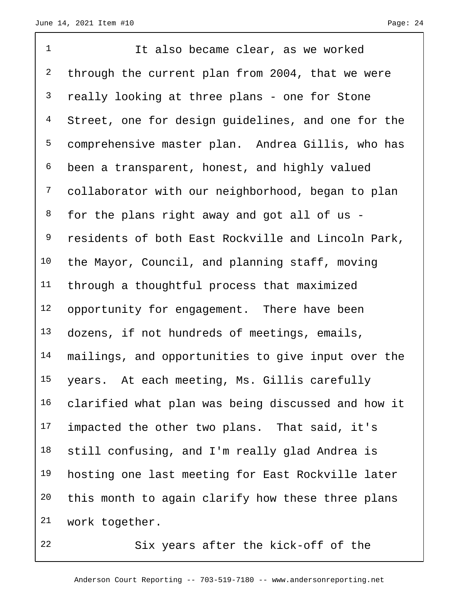1 1 It also became clear, as we worked <sup>2</sup> through the current plan from 2004, that we were really looking at three plans - one for Stone Street, one for design guidelines, and one for the comprehensive master plan. Andrea Gillis, who has been a transparent, honest, and highly valued collaborator with our neighborhood, began to plan for the plans right away and got all of us - residents of both East Rockville and Lincoln Park, the Mayor, Council, and planning staff, moving through a thoughtful process that maximized 12 opportunity for engagement. There have been dozens, if not hundreds of meetings, emails, mailings, and opportunities to give input over the years. At each meeting, Ms. Gillis carefully clarified what plan was being discussed and how it 17 impacted the other two plans. That said, it's still confusing, and I'm really glad Andrea is hosting one last meeting for East Rockville later this month to again clarify how these three plans work together.

Six years after the kick-off of the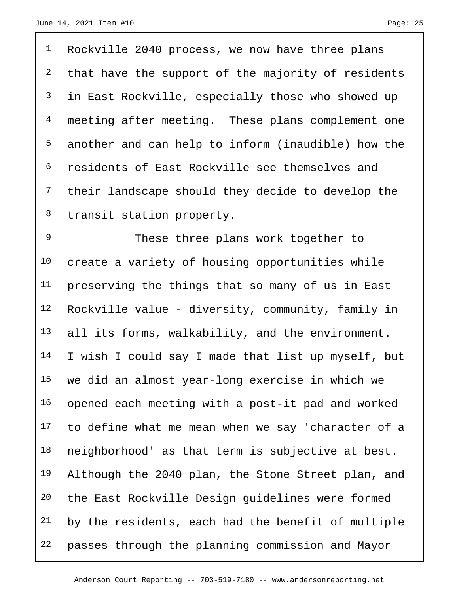<sup>1</sup> Rockville 2040 process, we now have three plans <sup>2</sup> that have the support of the majority of residents in East Rockville, especially those who showed up 4 meeting after meeting. These plans complement one another and can help to inform (inaudible) how the residents of East Rockville see themselves and their landscape should they decide to develop the 8 transit station property.

9 These three plans work together to create a variety of housing opportunities while preserving the things that so many of us in East Rockville value - diversity, community, family in all its forms, walkability, and the environment. I wish I could say I made that list up myself, but we did an almost year-long exercise in which we opened each meeting with a post-it pad and worked to define what me mean when we say 'character of a 18 neighborhood' as that term is subjective at best. 19 Although the 2040 plan, the Stone Street plan, and the East Rockville Design guidelines were formed by the residents, each had the benefit of multiple passes through the planning commission and Mayor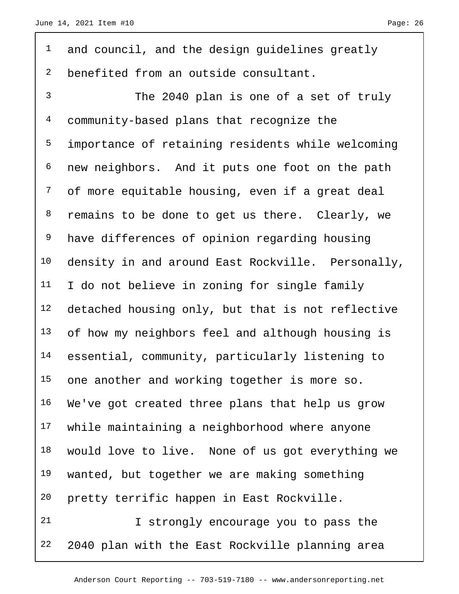| $\mathbf{1}$   | and council, and the design guidelines greatly    |
|----------------|---------------------------------------------------|
| $\overline{a}$ | benefited from an outside consultant.             |
| $\mathsf{3}$   | The 2040 plan is one of a set of truly            |
| $\overline{4}$ | community-based plans that recognize the          |
| 5              | importance of retaining residents while welcoming |
| 6              | new neighbors. And it puts one foot on the path   |
| $\overline{7}$ | of more equitable housing, even if a great deal   |
| 8              | remains to be done to get us there. Clearly, we   |
| 9              | have differences of opinion regarding housing     |
| 10             | density in and around East Rockville. Personally, |
| 11             | I do not believe in zoning for single family      |
| 12             | detached housing only, but that is not reflective |
| 13             | of how my neighbors feel and although housing is  |
| 14             | essential, community, particularly listening to   |
| 15             | one another and working together is more so.      |
| 16             | We've got created three plans that help us grow   |
| 17             | while maintaining a neighborhood where anyone     |
| 18             | would love to live. None of us got everything we  |
| 19             | wanted, but together we are making something      |
| 20             | pretty terrific happen in East Rockville.         |
| 21             | I strongly encourage you to pass the              |
| 22             | 2040 plan with the East Rockville planning area   |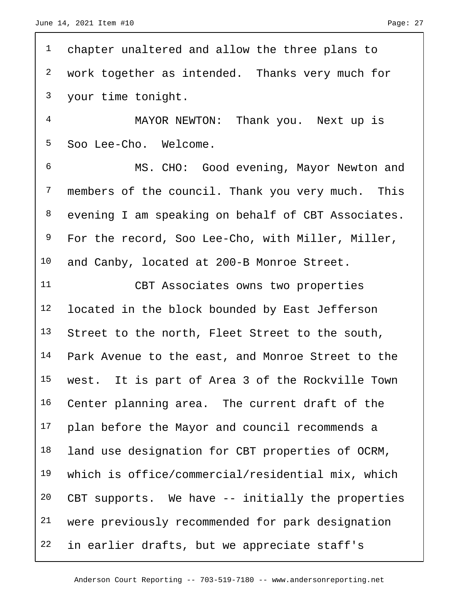| $\mathbf{1}$   | chapter unaltered and allow the three plans to     |
|----------------|----------------------------------------------------|
| $\overline{a}$ | work together as intended. Thanks very much for    |
| $\mathsf{3}$   | your time tonight.                                 |
| $\overline{4}$ | MAYOR NEWTON: Thank you. Next up is                |
| 5              | Soo Lee-Cho. Welcome.                              |
| 6              | MS. CHO: Good evening, Mayor Newton and            |
| $7\phantom{.}$ | members of the council. Thank you very much. This  |
| 8              | evening I am speaking on behalf of CBT Associates. |
| 9              | For the record, Soo Lee-Cho, with Miller, Miller,  |
| 10             | and Canby, located at 200-B Monroe Street.         |
| 11             | CBT Associates owns two properties                 |
| 12             | located in the block bounded by East Jefferson     |
| 13             | Street to the north, Fleet Street to the south,    |
| 14             | Park Avenue to the east, and Monroe Street to the  |
| 15             | west. It is part of Area 3 of the Rockville Town   |
| 16             |                                                    |
|                | Center planning area. The current draft of the     |
| 17             | plan before the Mayor and council recommends a     |
| 18             | land use designation for CBT properties of OCRM,   |
| 19             | which is office/commercial/residential mix, which  |
| 20             | CBT supports. We have -- initially the properties  |
| 21             | were previously recommended for park designation   |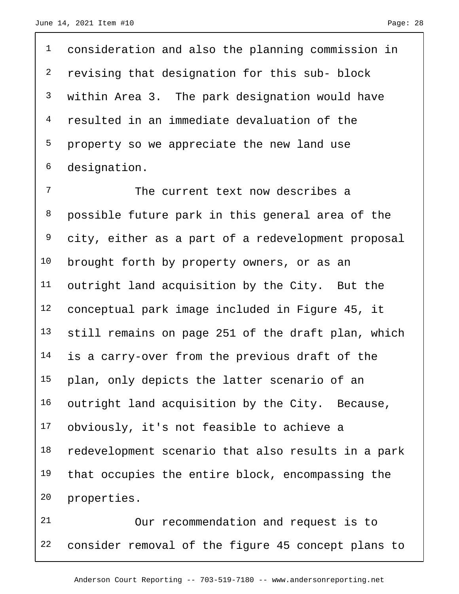consideration and also the planning commission in revising that designation for this sub- block within Area 3. The park designation would have resulted in an immediate devaluation of the 5 property so we appreciate the new land use designation.

7 The current text now describes a possible future park in this general area of the city, either as a part of a redevelopment proposal brought forth by property owners, or as an outright land acquisition by the City. But the conceptual park image included in Figure 45, it still remains on page 251 of the draft plan, which is a carry-over from the previous draft of the plan, only depicts the latter scenario of an outright land acquisition by the City. Because, obviously, it's not feasible to achieve a redevelopment scenario that also results in a park 19 that occupies the entire block, encompassing the properties.

 Our recommendation and request is to consider removal of the figure 45 concept plans to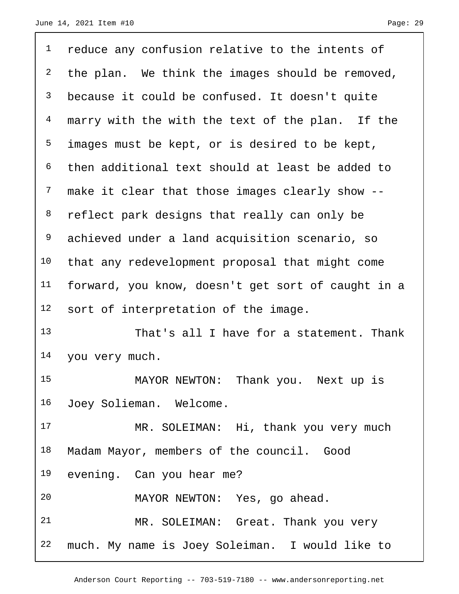| $\mathbf{1}$   | reduce any confusion relative to the intents of    |
|----------------|----------------------------------------------------|
| $\overline{a}$ | the plan. We think the images should be removed,   |
| $\mathsf{3}$   | because it could be confused. It doesn't quite     |
| $\overline{4}$ | marry with the with the text of the plan. If the   |
| 5              | images must be kept, or is desired to be kept,     |
| 6              | then additional text should at least be added to   |
| $\overline{7}$ | make it clear that those images clearly show --    |
| 8              | reflect park designs that really can only be       |
| 9              | achieved under a land acquisition scenario, so     |
| 10             | that any redevelopment proposal that might come    |
| 11             | forward, you know, doesn't get sort of caught in a |
| 12             | sort of interpretation of the image.               |
| 13             | That's all I have for a statement. Thank           |
| 14             | you very much.                                     |
| 15             | MAYOR NEWTON: Thank you. Next up is                |
| 16             | Joey Solieman. Welcome.                            |
| 17             | MR. SOLEIMAN: Hi, thank you very much              |
| 18             | Madam Mayor, members of the council. Good          |
| 19             | evening. Can you hear me?                          |
| 20             | MAYOR NEWTON: Yes, go ahead.                       |
| 21             | MR. SOLEIMAN: Great. Thank you very                |
| 22             | much. My name is Joey Soleiman. I would like to    |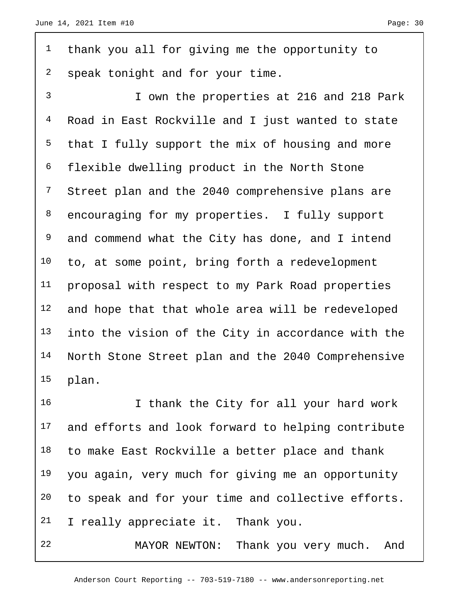thank you all for giving me the opportunity to <sup>2</sup> speak tonight and for your time.

 I own the properties at 216 and 218 Park Road in East Rockville and I just wanted to state that I fully support the mix of housing and more flexible dwelling product in the North Stone 7 Street plan and the 2040 comprehensive plans are encouraging for my properties. I fully support and commend what the City has done, and I intend to, at some point, bring forth a redevelopment proposal with respect to my Park Road properties and hope that that whole area will be redeveloped into the vision of the City in accordance with the North Stone Street plan and the 2040 Comprehensive plan.

16 16 I thank the City for all your hard work 17 and efforts and look forward to helping contribute to make East Rockville a better place and thank you again, very much for giving me an opportunity to speak and for your time and collective efforts. I really appreciate it. Thank you.

MAYOR NEWTON: Thank you very much. And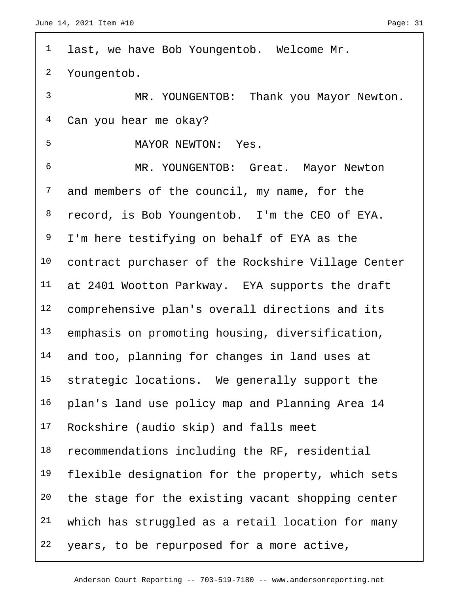| $\mathbf 1$     | last, we have Bob Youngentob. Welcome Mr.          |
|-----------------|----------------------------------------------------|
| 2               | Youngentob.                                        |
| $\mathsf{3}$    | MR. YOUNGENTOB: Thank you Mayor Newton.            |
| $\overline{4}$  | Can you hear me okay?                              |
| 5               | MAYOR NEWTON: Yes.                                 |
| 6               | MR. YOUNGENTOB: Great. Mayor Newton                |
| $\overline{7}$  | and members of the council, my name, for the       |
| 8               | record, is Bob Youngentob. I'm the CEO of EYA.     |
| 9               | I'm here testifying on behalf of EYA as the        |
| 10              | contract purchaser of the Rockshire Village Center |
| 11              | at 2401 Wootton Parkway. EYA supports the draft    |
| 12              | comprehensive plan's overall directions and its    |
| 13              | emphasis on promoting housing, diversification,    |
| 14              | and too, planning for changes in land uses at      |
| 15 <sub>1</sub> | strategic locations. We generally support the      |
| 16              | plan's land use policy map and Planning Area 14    |
| 17              | Rockshire (audio skip) and falls meet              |
| 18              | recommendations including the RF, residential      |
| 19              | flexible designation for the property, which sets  |
| 20              | the stage for the existing vacant shopping center  |
| 21              | which has struggled as a retail location for many  |
| 22              | years, to be repurposed for a more active,         |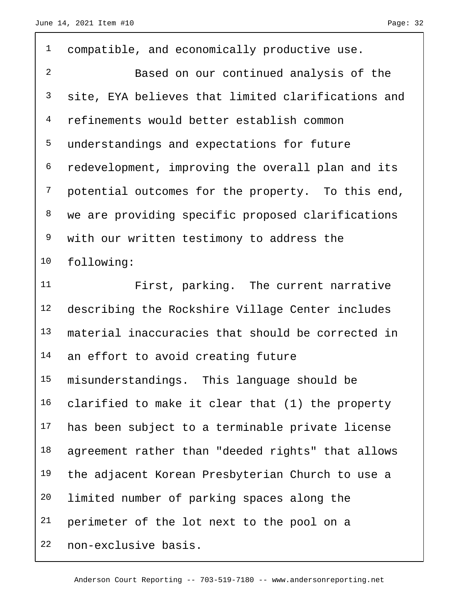| $\mathbf 1$    | compatible, and economically productive use.       |  |  |  |  |  |
|----------------|----------------------------------------------------|--|--|--|--|--|
| $\overline{2}$ | Based on our continued analysis of the             |  |  |  |  |  |
| 3              | site, EYA believes that limited clarifications and |  |  |  |  |  |
| $\overline{4}$ | refinements would better establish common          |  |  |  |  |  |
| 5              | understandings and expectations for future         |  |  |  |  |  |
| 6              | redevelopment, improving the overall plan and its  |  |  |  |  |  |
| 7              | potential outcomes for the property. To this end,  |  |  |  |  |  |
| 8              | we are providing specific proposed clarifications  |  |  |  |  |  |
| 9              | with our written testimony to address the          |  |  |  |  |  |
| 10             | following:                                         |  |  |  |  |  |
| 11             | First, parking. The current narrative              |  |  |  |  |  |
| 12             | describing the Rockshire Village Center includes   |  |  |  |  |  |
| 13             | material inaccuracies that should be corrected in  |  |  |  |  |  |
| 14             | an effort to avoid creating future                 |  |  |  |  |  |
| 15             | misunderstandings. This language should be         |  |  |  |  |  |
| 16             | clarified to make it clear that (1) the property   |  |  |  |  |  |
| 17             | has been subject to a terminable private license   |  |  |  |  |  |
| 18             | agreement rather than "deeded rights" that allows  |  |  |  |  |  |
| 19             | the adjacent Korean Presbyterian Church to use a   |  |  |  |  |  |
| 20             | limited number of parking spaces along the         |  |  |  |  |  |
| 21             | perimeter of the lot next to the pool on a         |  |  |  |  |  |
| 22             | non-exclusive basis.                               |  |  |  |  |  |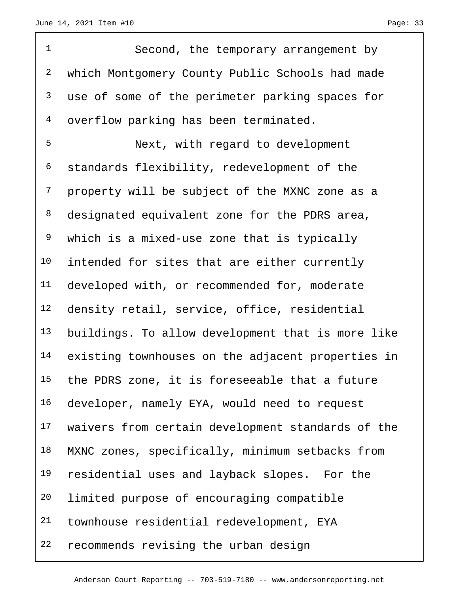1 Second, the temporary arrangement by which Montgomery County Public Schools had made <sup>3</sup> use of some of the perimeter parking spaces for overflow parking has been terminated. Next, with regard to development standards flexibility, redevelopment of the property will be subject of the MXNC zone as a 8 designated equivalent zone for the PDRS area, which is a mixed-use zone that is typically 10 intended for sites that are either currently developed with, or recommended for, moderate density retail, service, office, residential buildings. To allow development that is more like existing townhouses on the adjacent properties in the PDRS zone, it is foreseeable that a future developer, namely EYA, would need to request waivers from certain development standards of the 18 MXNC zones, specifically, minimum setbacks from residential uses and layback slopes. For the limited purpose of encouraging compatible townhouse residential redevelopment, EYA recommends revising the urban design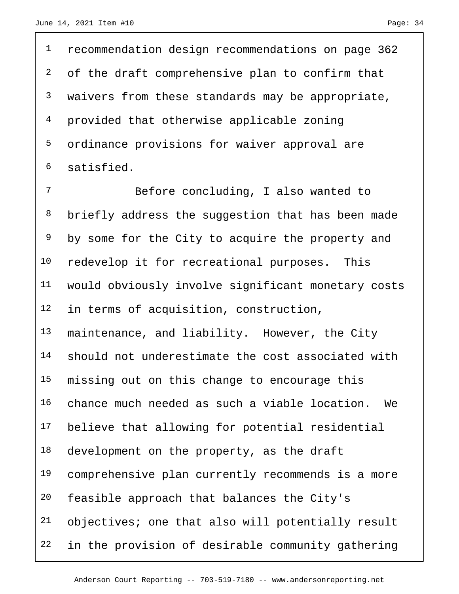recommendation design recommendations on page 362 <sup>2</sup> of the draft comprehensive plan to confirm that waivers from these standards may be appropriate, provided that otherwise applicable zoning ordinance provisions for waiver approval are satisfied.

 Before concluding, I also wanted to 8 briefly address the suggestion that has been made <sup>9</sup> by some for the City to acquire the property and redevelop it for recreational purposes. This would obviously involve significant monetary costs in terms of acquisition, construction, maintenance, and liability. However, the City should not underestimate the cost associated with missing out on this change to encourage this chance much needed as such a viable location. We believe that allowing for potential residential 18 development on the property, as the draft comprehensive plan currently recommends is a more feasible approach that balances the City's objectives; one that also will potentially result in the provision of desirable community gathering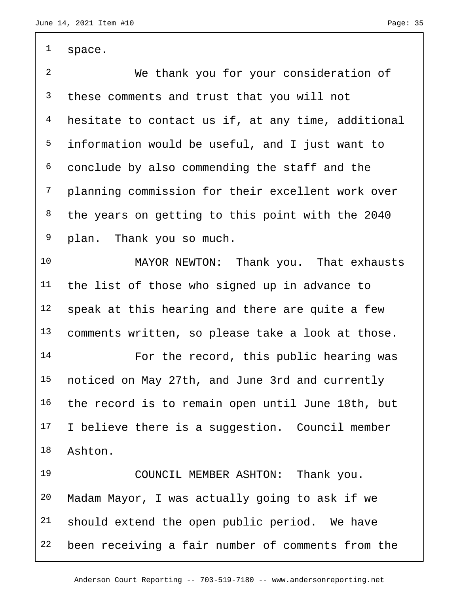space.

 We thank you for your consideration of these comments and trust that you will not hesitate to contact us if, at any time, additional information would be useful, and I just want to conclude by also commending the staff and the planning commission for their excellent work over the years on getting to this point with the 2040 plan. Thank you so much. MAYOR NEWTON: Thank you. That exhausts

 the list of those who signed up in advance to 12 speak at this hearing and there are quite a few comments written, so please take a look at those.

14 For the record, this public hearing was noticed on May 27th, and June 3rd and currently the record is to remain open until June 18th, but 17 I believe there is a suggestion. Council member Ashton.

 COUNCIL MEMBER ASHTON: Thank you. Madam Mayor, I was actually going to ask if we should extend the open public period. We have been receiving a fair number of comments from the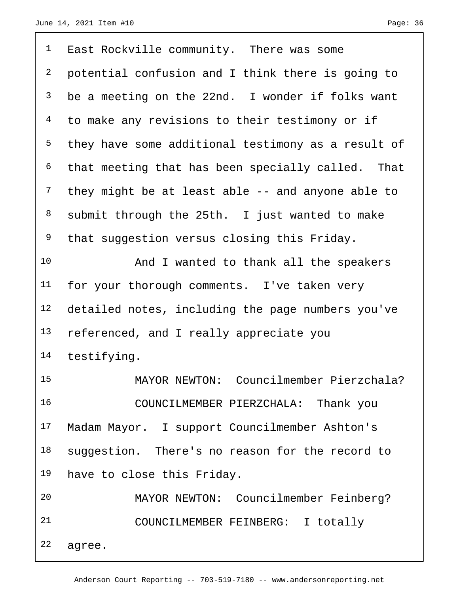| $\mathbf{1}$   | East Rockville community. There was some           |
|----------------|----------------------------------------------------|
| $\overline{a}$ | potential confusion and I think there is going to  |
| $\mathsf{3}$   | be a meeting on the 22nd. I wonder if folks want   |
| $\overline{4}$ | to make any revisions to their testimony or if     |
| 5              | they have some additional testimony as a result of |
| 6              | that meeting that has been specially called. That  |
| 7              | they might be at least able -- and anyone able to  |
| 8              | submit through the 25th. I just wanted to make     |
| 9              | that suggestion versus closing this Friday.        |
| 10             | And I wanted to thank all the speakers             |
| 11             | for your thorough comments. I've taken very        |
| 12             | detailed notes, including the page numbers you've  |
| 13             | referenced, and I really appreciate you            |
| 14             | testifying.                                        |
| 15             | MAYOR NEWTON: Councilmember Pierzchala?            |
| 16             | COUNCILMEMBER PIERZCHALA: Thank you                |
| 17             | Madam Mayor. I support Councilmember Ashton's      |
| 18             | suggestion. There's no reason for the record to    |
| 19             | have to close this Friday.                         |
| 20             | MAYOR NEWTON: Councilmember Feinberg?              |
| 21             | COUNCILMEMBER FEINBERG: I totally                  |
| 22             | agree.                                             |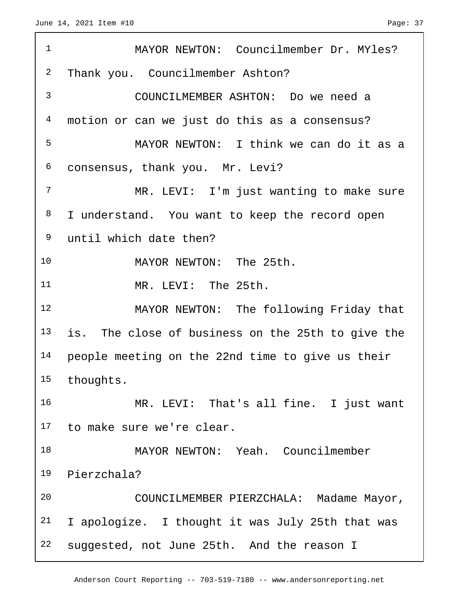| $\mathbf 1$    | MAYOR NEWTON: Councilmember Dr. MYles?            |  |  |  |  |  |
|----------------|---------------------------------------------------|--|--|--|--|--|
| 2              | Thank you. Councilmember Ashton?                  |  |  |  |  |  |
| $\mathfrak{Z}$ | COUNCILMEMBER ASHTON: Do we need a                |  |  |  |  |  |
| 4              | motion or can we just do this as a consensus?     |  |  |  |  |  |
| 5              | MAYOR NEWTON: I think we can do it as a           |  |  |  |  |  |
| 6              | consensus, thank you. Mr. Levi?                   |  |  |  |  |  |
| 7              | MR. LEVI: I'm just wanting to make sure           |  |  |  |  |  |
| 8              | I understand. You want to keep the record open    |  |  |  |  |  |
| 9              | until which date then?                            |  |  |  |  |  |
| 10             | MAYOR NEWTON: The 25th.                           |  |  |  |  |  |
| 11             | MR. LEVI: The 25th.                               |  |  |  |  |  |
| 12             | MAYOR NEWTON: The following Friday that           |  |  |  |  |  |
| 13             | is. The close of business on the 25th to give the |  |  |  |  |  |
| 14             | people meeting on the 22nd time to give us their  |  |  |  |  |  |
| 15             | thoughts.                                         |  |  |  |  |  |
| 16             | MR. LEVI: That's all fine. I just want            |  |  |  |  |  |
| 17             | to make sure we're clear.                         |  |  |  |  |  |
| 18             | MAYOR NEWTON: Yeah. Councilmember                 |  |  |  |  |  |
| 19             | Pierzchala?                                       |  |  |  |  |  |
| 20             | COUNCILMEMBER PIERZCHALA: Madame Mayor,           |  |  |  |  |  |
| 21             | I apologize. I thought it was July 25th that was  |  |  |  |  |  |
| 22             | suggested, not June 25th. And the reason I        |  |  |  |  |  |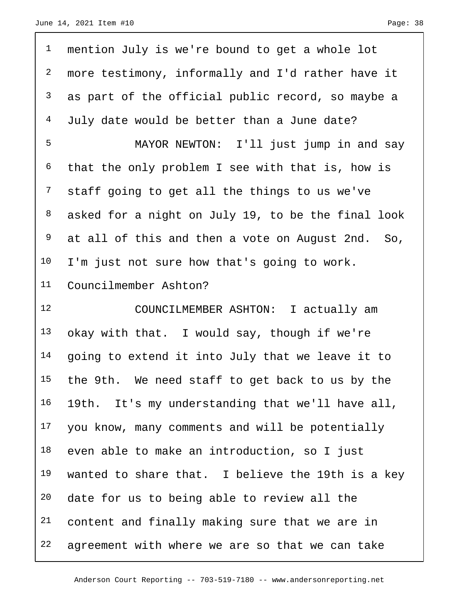| $\mathbf 1$    | mention July is we're bound to get a whole lot     |
|----------------|----------------------------------------------------|
| $\overline{c}$ | more testimony, informally and I'd rather have it  |
| 3              | as part of the official public record, so maybe a  |
| $\overline{4}$ | July date would be better than a June date?        |
| 5              | MAYOR NEWTON: I'll just jump in and say            |
| 6              | that the only problem I see with that is, how is   |
| $\overline{7}$ | staff going to get all the things to us we've      |
| 8              | asked for a night on July 19, to be the final look |
| 9              | at all of this and then a vote on August 2nd. So,  |
| 10             | I'm just not sure how that's going to work.        |
| 11             | Councilmember Ashton?                              |
|                |                                                    |
| 12             | COUNCILMEMBER ASHTON: I actually am                |
| 13             | okay with that. I would say, though if we're       |
| 14             | going to extend it into July that we leave it to   |
|                | 15 the 9th. We need staff to get back to us by the |
| 16             | 19th. It's my understanding that we'll have all,   |
| 17             | you know, many comments and will be potentially    |
| 18             | even able to make an introduction, so I just       |
| 19             | wanted to share that. I believe the 19th is a key  |
| 20             | date for us to being able to review all the        |
| 21             | content and finally making sure that we are in     |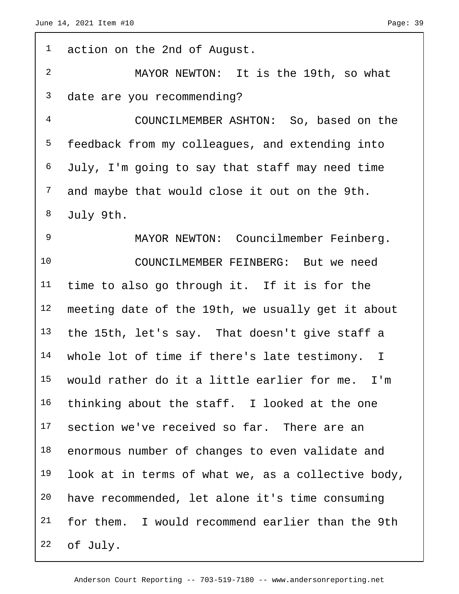f

| 1               | action on the 2nd of August.                       |
|-----------------|----------------------------------------------------|
| $\overline{2}$  | MAYOR NEWTON: It is the 19th, so what              |
| $\mathsf{3}$    | date are you recommending?                         |
| $\overline{4}$  | COUNCILMEMBER ASHTON: So, based on the             |
| 5               | feedback from my colleagues, and extending into    |
| 6               | July, I'm going to say that staff may need time    |
| $7\overline{ }$ | and maybe that would close it out on the 9th.      |
| 8               | July 9th.                                          |
| 9               | MAYOR NEWTON: Councilmember Feinberg.              |
| 10              | COUNCILMEMBER FEINBERG: But we need                |
| 11              | time to also go through it. If it is for the       |
| 12              | meeting date of the 19th, we usually get it about  |
| 13              | the 15th, let's say. That doesn't give staff a     |
| 14              | whole lot of time if there's late testimony. I     |
| 15              | would rather do it a little earlier for me. I'm    |
| 16              | thinking about the staff. I looked at the one      |
| 17              | section we've received so far. There are an        |
| 18              | enormous number of changes to even validate and    |
| 19              | look at in terms of what we, as a collective body, |
| 20              | have recommended, let alone it's time consuming    |
| 21              | for them. I would recommend earlier than the 9th   |
| 22              | of July.                                           |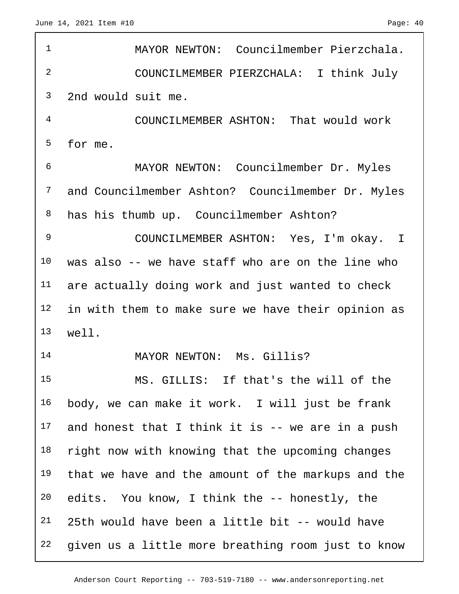$\Gamma$ 

| $\mathbf 1$ | MAYOR NEWTON: Councilmember Pierzchala.            |  |  |  |  |  |
|-------------|----------------------------------------------------|--|--|--|--|--|
| 2           | COUNCILMEMBER PIERZCHALA: I think July             |  |  |  |  |  |
| 3           | 2nd would suit me.                                 |  |  |  |  |  |
| 4           | COUNCILMEMBER ASHTON: That would work              |  |  |  |  |  |
| 5           | for me.                                            |  |  |  |  |  |
| 6           | MAYOR NEWTON: Councilmember Dr. Myles              |  |  |  |  |  |
| 7           | and Councilmember Ashton? Councilmember Dr. Myles  |  |  |  |  |  |
| 8           | has his thumb up. Councilmember Ashton?            |  |  |  |  |  |
| 9           | COUNCILMEMBER ASHTON: Yes, I'm okay. I             |  |  |  |  |  |
| 10          | was also -- we have staff who are on the line who  |  |  |  |  |  |
| 11          | are actually doing work and just wanted to check   |  |  |  |  |  |
| 12          | in with them to make sure we have their opinion as |  |  |  |  |  |
| 13          | well.                                              |  |  |  |  |  |
| 14          | MAYOR NEWTON: Ms. Gillis?                          |  |  |  |  |  |
| 15          | MS. GILLIS: If that's the will of the              |  |  |  |  |  |
| 16          | body, we can make it work. I will just be frank    |  |  |  |  |  |
| 17          | and honest that I think it is -- we are in a push  |  |  |  |  |  |
| 18          | right now with knowing that the upcoming changes   |  |  |  |  |  |
| 19          | that we have and the amount of the markups and the |  |  |  |  |  |
| 20          | edits. You know, I think the -- honestly, the      |  |  |  |  |  |
| 21          | 25th would have been a little bit -- would have    |  |  |  |  |  |
| 22          | given us a little more breathing room just to know |  |  |  |  |  |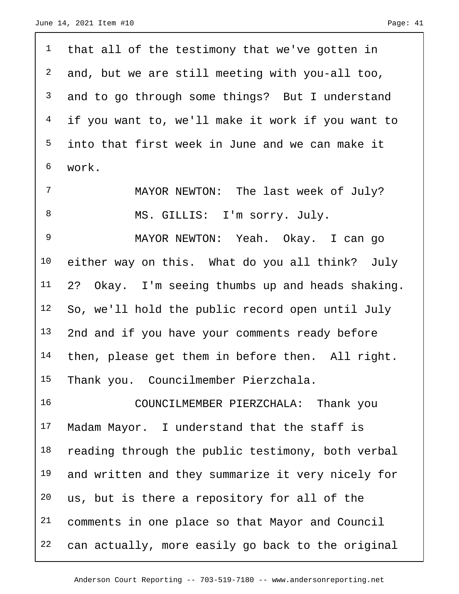that all of the testimony that we've gotten in and, but we are still meeting with you-all too, 3 and to go through some things? But I understand if you want to, we'll make it work if you want to into that first week in June and we can make it work. MAYOR NEWTON: The last week of July? 8 MS. GILLIS: I'm sorry. July. MAYOR NEWTON: Yeah. Okay. I can go either way on this. What do you all think? July 2? Okay. I'm seeing thumbs up and heads shaking. So, we'll hold the public record open until July 13 2nd and if you have your comments ready before 14 then, please get them in before then. All right. Thank you. Councilmember Pierzchala. COUNCILMEMBER PIERZCHALA: Thank you Madam Mayor. I understand that the staff is 18 reading through the public testimony, both verbal 19 and written and they summarize it very nicely for us, but is there a repository for all of the

comments in one place so that Mayor and Council

can actually, more easily go back to the original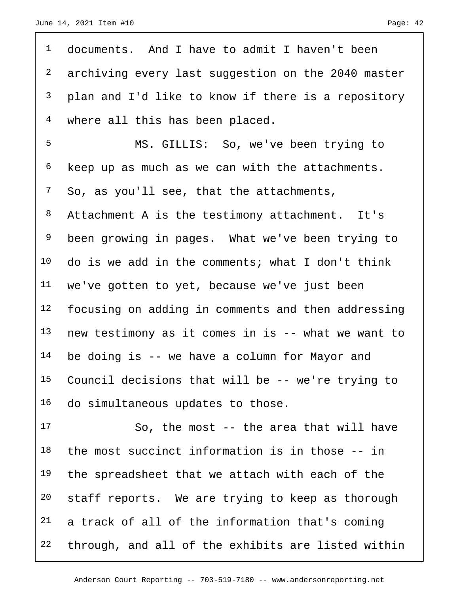documents. And I have to admit I haven't been archiving every last suggestion on the 2040 master plan and I'd like to know if there is a repository 4 where all this has been placed. MS. GILLIS: So, we've been trying to keep up as much as we can with the attachments. <sup>7</sup> So, as you'll see, that the attachments, Attachment A is the testimony attachment. It's <sup>9</sup> been growing in pages. What we've been trying to do is we add in the comments; what I don't think <sup>11</sup> we've gotten to yet, because we've just been focusing on adding in comments and then addressing new testimony as it comes in is -- what we want to be doing is -- we have a column for Mayor and Council decisions that will be -- we're trying to do simultaneous updates to those. So, the most -- the area that will have

 the most succinct information is in those -- in 19 the spreadsheet that we attach with each of the staff reports. We are trying to keep as thorough a track of all of the information that's coming through, and all of the exhibits are listed within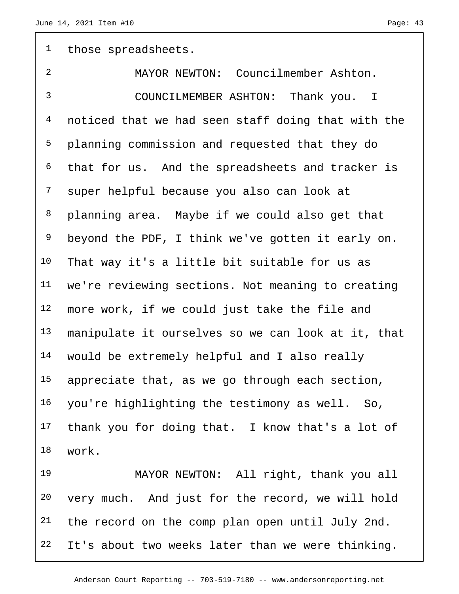<sup>1</sup> those spreadsheets. MAYOR NEWTON: Councilmember Ashton. COUNCILMEMBER ASHTON: Thank you. I noticed that we had seen staff doing that with the planning commission and requested that they do that for us. And the spreadsheets and tracker is super helpful because you also can look at planning area. Maybe if we could also get that beyond the PDF, I think we've gotten it early on. That way it's a little bit suitable for us as we're reviewing sections. Not meaning to creating more work, if we could just take the file and manipulate it ourselves so we can look at it, that would be extremely helpful and I also really 15 appreciate that, as we go through each section, you're highlighting the testimony as well. So, thank you for doing that. I know that's a lot of work.

 MAYOR NEWTON: All right, thank you all very much. And just for the record, we will hold the record on the comp plan open until July 2nd. It's about two weeks later than we were thinking.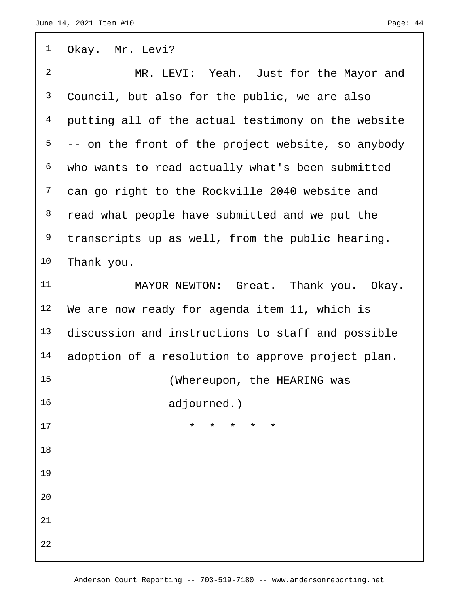| $\mathbf 1$    | Okay. Mr. Levi?                                    |  |  |  |  |  |
|----------------|----------------------------------------------------|--|--|--|--|--|
| $\overline{a}$ | MR. LEVI: Yeah. Just for the Mayor and             |  |  |  |  |  |
| $\mathsf{3}$   | Council, but also for the public, we are also      |  |  |  |  |  |
| $\overline{4}$ | putting all of the actual testimony on the website |  |  |  |  |  |
| 5              | -- on the front of the project website, so anybody |  |  |  |  |  |
| 6              | who wants to read actually what's been submitted   |  |  |  |  |  |
| 7              | can go right to the Rockville 2040 website and     |  |  |  |  |  |
| 8              | read what people have submitted and we put the     |  |  |  |  |  |
| 9              | transcripts up as well, from the public hearing.   |  |  |  |  |  |
| 10             | Thank you.                                         |  |  |  |  |  |
| 11             | MAYOR NEWTON: Great. Thank you. Okay.              |  |  |  |  |  |
| 12             | We are now ready for agenda item 11, which is      |  |  |  |  |  |
| 13             | discussion and instructions to staff and possible  |  |  |  |  |  |
| 14             | adoption of a resolution to approve project plan.  |  |  |  |  |  |
| 15             | (Whereupon, the HEARING was                        |  |  |  |  |  |
| 16             | adjourned.)                                        |  |  |  |  |  |
| 17             | $\star$<br>*<br>*<br>$\star$<br>$\star$            |  |  |  |  |  |
| 18             |                                                    |  |  |  |  |  |
| 19             |                                                    |  |  |  |  |  |
| 20             |                                                    |  |  |  |  |  |
| 21             |                                                    |  |  |  |  |  |
| 22             |                                                    |  |  |  |  |  |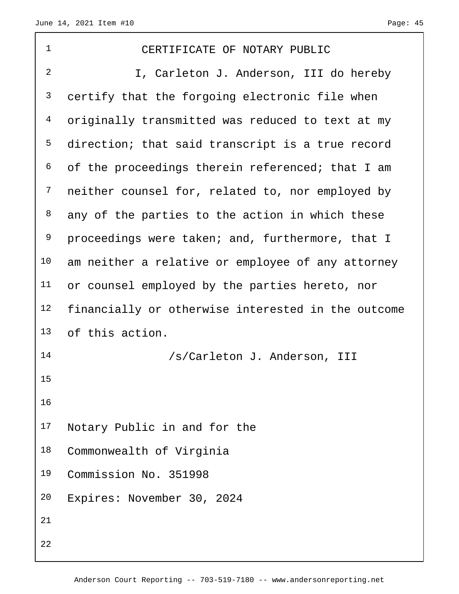| 1  | CERTIFICATE OF NOTARY PUBLIC                       |
|----|----------------------------------------------------|
| 2  | I, Carleton J. Anderson, III do hereby             |
| 3  | certify that the forgoing electronic file when     |
| 4  | originally transmitted was reduced to text at my   |
| 5  | direction; that said transcript is a true record   |
| 6  | of the proceedings therein referenced; that I am   |
| 7  | neither counsel for, related to, nor employed by   |
| 8  | any of the parties to the action in which these    |
| 9  | proceedings were taken; and, furthermore, that I   |
| 10 | am neither a relative or employee of any attorney  |
| 11 | or counsel employed by the parties hereto, nor     |
| 12 | financially or otherwise interested in the outcome |
| 13 | of this action.                                    |
| 14 | /s/Carleton J. Anderson, III                       |
| 15 |                                                    |
| 16 |                                                    |
| 17 | Notary Public in and for the                       |
| 18 | Commonwealth of Virginia                           |
| 19 | Commission No. 351998                              |
| 20 | Expires: November 30, 2024                         |
| 21 |                                                    |
| 22 |                                                    |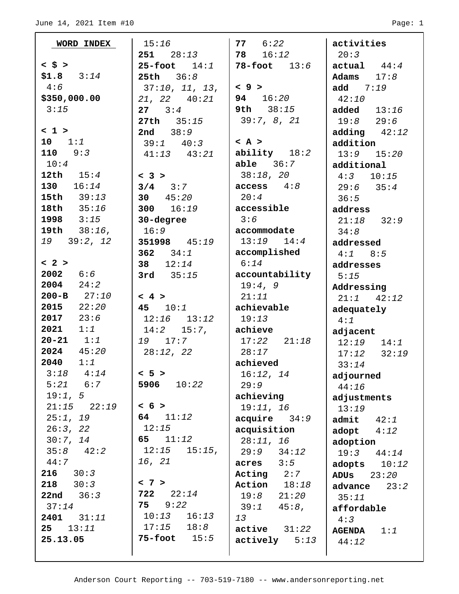| WORD INDEX         | 15:16                 | 776:22             | activities           |
|--------------------|-----------------------|--------------------|----------------------|
|                    | $251 \t 28:13$        | 16:12<br>78        | 20:3                 |
| $<$ \$ >           | <b>25-foot</b> $14:1$ | $78 - foot$ $13:6$ | $actual$ $44:4$      |
| $$1.8$ $3:14$      | $25th$ $36:8$         |                    | Adams $17:8$         |
| 4:6                | 37:10, 11, 13,        | < 9 >              | add $7:19$           |
| \$350,000.00       | $21, 22$ $40:21$      | 94 $16:20$         | 42:10                |
| 3:15               | $27 \quad 3:4$        | 9th $38:15$        | added $13:16$        |
|                    | <b>27th</b> $35:15$   | 39:7, 8, 21        | $19:8$ 29:6          |
| < 1                | <b>2nd</b> $38:9$     |                    | adding $42:12$       |
| $10 \t 1:1$        | $39:1$ $40:3$         | $><$ A $>$         | addition             |
| $110$ $9:3$        | $41:13$ $43:21$       | ability $18:2$     | $13:9$ $15:20$       |
| 10:4               |                       | able $36:7$        | additional           |
| 12th $15:4$        | < 3 >                 | 38:18, 20          | $4:3$ 10:15          |
| 130 $16:14$        | $3/4$ $3:7$           | $access$ $4:8$     | $29:6$ $35:4$        |
| 15th 39:13         | 30 $45:20$            | 20:4               | 36:5                 |
| 18th 35:16         | 300 $16:19$           | accessible         | address              |
| 1998 $3:15$        | 30-degree             | 3:6                | $21:18$ $32:9$       |
| 19th 38:16,        | 16:9                  | accommodate        | 34:8                 |
| $19$ $39:2$ , $12$ | 351998 45:19          | $13:19$ $14:4$     | addressed            |
|                    | 362 $34:1$            | accomplished       | $4:1$ $8:5$          |
| < 2 >              | 38 $12:14$            | 6:14               | addresses            |
| $2002$ $6:6$       | 3rd $35:15$           | accountability     | 5:15                 |
| $2004$ $24:2$      |                       | 19:4, 9            | Addressing           |
| $200 - B$ $27:10$  | < 4 >                 | 21:11              | $21:1$ $42:12$       |
| $2015$ $22:20$     | 45 $10:1$             | achievable         | adequately           |
| $2017$ $23:6$      | $12:16$ $13:12$       | 19:13              | 4:1                  |
| $2021$ $1:1$       | $14:2$ 15:7,          | $\mid$ achieve     | adjacent             |
| $20 - 21$ $1:1$    | 19 17:7               | $17:22$ $21:18$    | 12:19<br>14:1        |
| 2024 45:20         | 28:12, 22             | 28:17              | $17:12$ $32:19$      |
| 2040<br>1:1        |                       | achieved           | 33:14                |
| $3:18$ $4:14$      | < 5 >                 | 16:12, 14          | adjourned            |
| $5:21$ $6:7$       | 5906<br>10:22         | 29:9               | 44:16                |
| 19:1, 5            |                       | achieving          | adjustments          |
| $21:15$ $22:19$    | < 6 >                 | 19:11, 16          | 13:19                |
| 25:1, 19           | 64 $11:12$            | acquire 34:9       | admit $42:1$         |
| 26:3, 22           | 12:15                 | acquisition        | adopt $4:12$         |
| 30:7, 14           | 65 $11:12$            | 28:11, 16          | adoption             |
| $35:8$ $42:2$      | $12:15$ $15:15$ ,     | 29:9 34:12         | $19:3$ $44:14$       |
| 44:7               | 16, 21                | $acres$ $3:5$      | adopts $10:12$       |
| $216$ $30:3$       |                       | Acting $2:7$       | ADUS<br>23:20        |
| $218$ $30:3$       | $< 7$ >               | Action $18:18$     | advance $23:2$       |
| <b>22nd</b> $36:3$ | $722 \t 22:14$        | 19:8<br>21:20      | 35:11                |
| 37:14              | $75 \t 9:22$          | 39:1<br>45:8,      | affordable           |
| $2401$ $31:11$     | $10:13$ $16:13$       | 13                 | 4:3                  |
| 25<br>13:11        | $17:15$ $18:8$        | $active$ $31:22$   | 1:1<br><b>AGENDA</b> |
| 25.13.05           | 75-foot $15:5$        | actively<br>5:13   | 44:12                |
|                    |                       |                    |                      |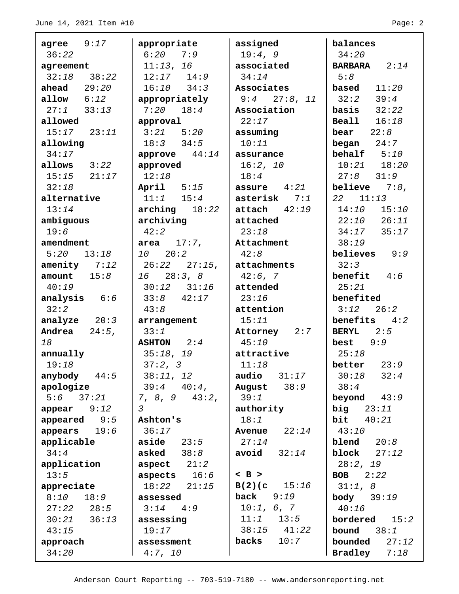| $agree$ $9:17$                                                     | appropriate        | assigned           | balances              |
|--------------------------------------------------------------------|--------------------|--------------------|-----------------------|
| 36:22                                                              | $6:20$ 7:9         | 19:4, 9            | 34:20                 |
| agreement                                                          | 11:13, 16          | associated         | <b>BARBARA</b> $2:14$ |
| $32:18$ $38:22$                                                    | $12:17$ $14:9$     | 34:14              | 5:8                   |
| ahead $29:20$                                                      | $16:10$ $34:3$     | Associates         | 11:20<br>based        |
| allow $6:12$                                                       | appropriately      | $9:4$ $27:8$ , 11  | 39:4<br>32:2          |
| $27:1$ $33:13$                                                     | 18:4<br>7:20       | Association        | basis<br>32:22        |
| allowed                                                            | approval           | 22:17              | <b>Beall</b> $16:18$  |
| $15:17$ $23:11$                                                    | $3:21$ $5:20$      | assuming           | bear $22:8$           |
| allowing                                                           | $18:3$ $34:5$      | 10:11              | began $24:7$          |
| 34:17                                                              | approve $44:14$    | assurance          | behalf $5:10$         |
| allows $3:22$                                                      | approved           | 16:2, 10           | $10:21$ $18:20$       |
| $15:15$ $21:17$                                                    | 12:18              | 18:4               | $27:8$ $31:9$         |
| 32:18                                                              | April $5:15$       | assure $4:21$      | believe $7:8$ ,       |
| alternative                                                        | $11:1$ $15:4$      | asterisk $7:1$     | $22 \quad 11:13$      |
| 13:14                                                              | $\arching$ $18:22$ | $attach$ $42:19$   | 14:10<br>15:10        |
| ambiguous                                                          | archiving          | attached           | $22:10$ $26:11$       |
| 19:6                                                               | 42:2               | 23:18              | 34:17<br>35:17        |
| amendment                                                          | area $17:7$ ,      | Attachment         | 38:19                 |
| $5:20$ $13:18$                                                     | 20:2<br>10         | 42:8               | believes $9:9$        |
| $\begin{matrix} \text{amentity} \\ \text{array} \end{matrix}$ 7:12 | $26:22$ $27:15$ ,  | attachments        | 32:3                  |
| amount $15:8$                                                      | 28:3, 8<br>16      | 42:6, 7            | benefit $4:6$         |
| 40:19                                                              | $30:12$ $31:16$    | attended           | 25:21                 |
| analysis $6:6$                                                     | $33:8$ $42:17$     | 23:16              | benefited             |
| 32:2                                                               | 43:8               | attention          | $3:12$ $26:2$         |
| analyze $20:3$                                                     | arrangement        | 15:11              | benefits $4:2$        |
| Andrea $24:5$ ,                                                    | 33:1               | Attorney 2:7       | <b>BERYL</b> $2:5$    |
| 18                                                                 | $ASHTON$ 2:4       | 45:10              | best $9:9$            |
| annually                                                           | 35:18, 19          | attractive         | 25:18                 |
| 19:18                                                              | 37:2, 3            | 11:18              | better $23:9$         |
| anybody $44:5$                                                     | 38:11, 12          | audio<br>31:17     | 30:18<br>32:4         |
| apologize                                                          | $39:4$ $40:4$ ,    | August<br>38:9     | 38:4                  |
| $5:6$ $37:21$                                                      | $7, 8, 9$ 43:2,    | 39:1               | beyond $43:9$         |
| appear $9:12$                                                      | $\mathfrak{Z}$     | authority          | big $23:11$           |
| appeared $9:5$                                                     | Ashton's           | 18:1               | bit $40:21$           |
| appears $19:6$                                                     | 36:17              | Avenue $22:14$     | 43:10                 |
| applicable                                                         | aside $23:5$       | 27:14              | <b>blend</b> $20:8$   |
| 34:4                                                               | asked $38:8$       | avoid<br>32:14     | block<br>27:12        |
| application                                                        | aspect $21:2$      |                    | 28:2, 19              |
| 13:5                                                               | aspects $16:6$     | $<$ B $>$          | BOB $2:22$            |
| appreciate                                                         | $18:22$ $21:15$    | $B(2)$ (c<br>15:16 | 31:1, 8               |
| 8:10<br>18:9                                                       | assessed           | back<br>9:19       | body $39:19$          |
| $27:22$ $28:5$                                                     | 3:14<br>4:9        | 10:1, 6, 7         | 40:16                 |
| $30:21$ $36:13$                                                    | assessing          | $11:1$ $13:5$      | bordered<br>15:2      |
| 43:15                                                              | 19:17              | $38:15$ $41:22$    | <b>bound</b> $38:1$   |
| approach                                                           | assessment         | backs<br>10:7      | bounded<br>27:12      |
| 34:20                                                              | 4:7, 10            |                    | Bradley<br>7:18       |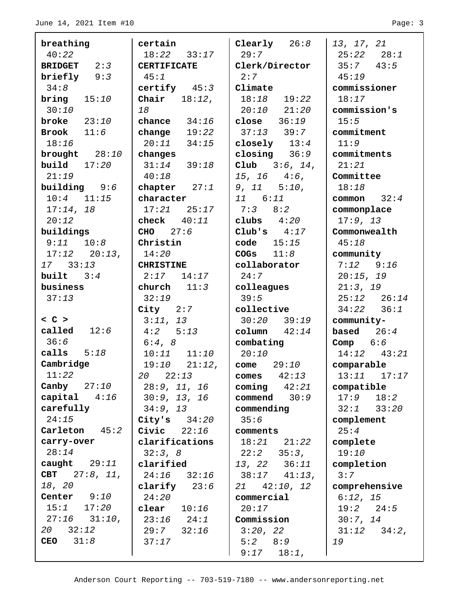| breathing               | certain            | $\textbf{Clearly}$ 26:8 | 13, 17, 21          |
|-------------------------|--------------------|-------------------------|---------------------|
| 40:22                   | $18:22$ $33:17$    | 29:7                    | $25:22$ $28:1$      |
| BRIDGET 2:3             | <b>CERTIFICATE</b> | Clerk/Director          | $35:7$ 43:5         |
| briefly $9:3$           | 45:1               | 2:7                     | 45:19               |
| 34:8                    | certify $45:3$     | Climate                 | commissioner        |
| bring $15:10$           | Chair $18:12$ ,    | $18:18$ $19:22$         | 18:17               |
| 30:10                   | 18                 | $20:10$ $21:20$         | commission's        |
| broke $23:10$           | chance $34:16$     | close $36:19$           | 15:5                |
| Brook $11:6$            | change $19:22$     | $37:13$ $39:7$          | commitment          |
| 18:16                   | $20:11$ $34:15$    | closely $13:4$          | 11:9                |
| brought $28:10$         | changes            | closing $36:9$          | commitments         |
| build $17:20$           | $31:14$ $39:18$    | Club $3:6, 14,$         | 21:21               |
| 21:19                   | 40:18              | $15, 16$ $4:6,$         | Committee           |
| <b>building</b> $9:6$   | chapter $27:1$     | $9, 11$ $5:10,$         | 18:18               |
| $10:4$ $11:15$          | character          | 11 6:11                 | common $32:4$       |
| 17:14, 18               | $17:21$ $25:17$    | $7:3$ 8:2               | commonplace         |
| 20:12                   | check $40:11$      | clubs $4:20$            | 17:9, 13            |
| buildings               | $CHO$ $27:6$       | Club's $4:17$           | Commonwealth        |
| $9:11$ $10:8$           | Christin           | code $15:15$            | 45:18               |
| $17:12$ $20:13$ ,       | 14:20              | COGs $11:8$             | community           |
| 17 33:13                | <b>CHRISTINE</b>   | collaborator            | $7:12$ $9:16$       |
| built $3:4$             | $2:17$ $14:17$     | 24:7                    | 20:15, 19           |
| business                | church $11:3$      | colleagues              | 21:3, 19            |
| 37:13                   | 32:19              | 39:5                    | $25:12$ $26:14$     |
|                         | City $2:7$         | collective              | $34:22$ $36:1$      |
| < C >                   | 3:11, 13           | $30:20$ $39:19$         | community-          |
| called $12:6$           | $4:2$ $5:13$       | column $42:14$          | <b>based</b> $26:4$ |
| 36:6                    | 6:4, 8             | combating               | Comp $6:6$          |
| calls $5:18$            | $10:11$ $11:10$    | 20:10                   | $14:12$ $43:21$     |
| Cambridge               | $19:10$ $21:12$ ,  | 29:10<br>come           | comparable          |
| 11:22                   | $20 \t 22:13$      | comes $42:13$           | $13:11$ $17:17$     |
| Canby $27:10$           | 28:9, 11, 16       | coming $42:21$          | compatible          |
| $\mathtt{capital}$ 4:16 | 30:9, 13, 16       | command 30:9            | 17:9<br>18:2        |
| carefully               | 34:9, 13           | commending              | $32:1$ $33:20$      |
| 24:15                   | City's $34:20$     | 35:6                    | complement          |
| Carleton $45:2$         | Civic $22:16$      | comments                | 25:4                |
| carry-over              | clarifications     | $18:21$ $21:22$         | complete            |
| 28:14                   | 32:3, 8            | $22:2$ $35:3$ ,         | 19:10               |
| caught $29:11$          | clarified          | 13, 22 36:11            | completion          |
| CBT<br>27:8, 11,        | 24:16<br>32:16     | $38:17$ $41:13$ ,       | 3:7                 |
| 18, 20                  | clarify $23:6$     | 21 42:10, 12            | comprehensive       |
| <b>Center</b> $9:10$    | 24:20              | commercial              | 6:12, 15            |
| $15:1$ $17:20$          | clear $10:16$      | 20:17                   | 19:2 24:5           |
| $27:16$ $31:10$ ,       | $23:16$ $24:1$     | Commission              | 30:7, 14            |
| 20<br>32:12             | 29:7<br>32:16      | 3:20, 22                | $31:12$ $34:2$ ,    |
| CEO $31:8$              | 37:17              | 5:2 8:9                 | 19                  |
|                         |                    | $9:17$ $18:1$ ,         |                     |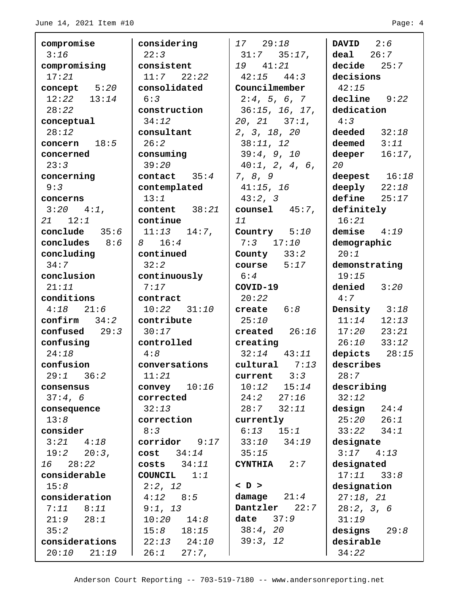| compromise              | considering       | 17 29:18               | DAVID $2:6$         |
|-------------------------|-------------------|------------------------|---------------------|
| 3:16                    | 22:3              | $31:7$ $35:17$ ,       | deal $26:7$         |
| compromising            | consistent        | 19 41:21               | $decide$ $25:7$     |
| 17:21                   | $11:7$ $22:22$    | $42:15$ $44:3$         | decisions           |
| concept $5:20$          | consolidated      | Councilmember          | 42:15               |
| $12:22$ $13:14$         | 6:3               | 2:4, 5, 6, 7           | $decline$ 9:22      |
| 28:22                   | construction      | 36:15, 16, 17,         | dedication          |
| conceptual              | 34:12             | $20, 21$ $37:1,$       | 4:3                 |
| 28:12                   | consultant        | 2, 3, 18, 20           | deeded $32:18$      |
| concern $18:5$          | 26:2              | 38:11, 12              | deemed $3:11$       |
| concerned               | consuming         | 39:4, 9, 10            | deeper<br>$16:17$ , |
| 23:3                    | 39:20             | $40:1$ , 2, 4, 6,      | 20                  |
| concerning              | contact $35:4$    | 7, 8, 9                | deepest $16:18$     |
| 9:3                     | contemplated      | $41:15$ , 16           | deeply $22:18$      |
| concerns                | 13:1              | 43:2, 3                | define $25:17$      |
| $3:20 \ 4:1$ ,          | content $38:21$   | counsel $45:7$ ,       | definitely          |
| $21 \quad 12:1$         | continue          | 11                     | 16:21               |
| conclude $35:6$         | $11:13$ $14:7$ ,  | Country 5:10           | demise $4:19$       |
| concludes $8:6$         | $8 \t16:4$        | $7:3$ $17:10$          | demographic         |
| concluding              | continued         | County $33:2$          | 20:1                |
| 34:7                    | 32:2              | course $5:17$          | demonstrating       |
| conclusion              | continuously      | 6:4                    | 19:15               |
| 21:11                   | 7:17              | COVID-19               | denied $3:20$       |
| conditions              | contract          | 20:22                  | 4:7                 |
| $4:18$ $21:6$           | $10:22$ $31:10$   | create $6:8$           | Density 3:18        |
| $\text{confirm}$ $34:2$ | contribute        | 25:10                  | 11:14<br>12:13      |
| $confused$ 29:3         | 30:17             | created $26:16$        | $17:20$ $23:21$     |
| confusing               | controlled        | creating               | $26:10$ $33:12$     |
| 24:18                   | 4:8               | $32:14$ $43:11$        | depicts $28:15$     |
| confusion               | conversations     | $\text{cultural}$ 7:13 | describes           |
| $29:1$ $36:2$           | 11:21             | current 3:3            | 28:7                |
| consensus               | convey $10:16$    | $10:12$ $15:14$        | describing          |
| 37:4,6                  | corrected         | $24:2$ $27:16$         | 32:12               |
| consequence             | 32:13             | $28:7$ $32:11$         | design $24:4$       |
| 13:8                    | correction        | currently              | 25:20<br>26:1       |
| consider                | 8:3               | 6:13<br>15:1           | 33:22<br>34:1       |
| $3:21$ $4:18$           | $corridor$ $9:17$ | $33:10$ $34:19$        | designate           |
| $19:2 20:3$ ,           | $cost$ $34:14$    | 35:15                  | $3:17$ $4:13$       |
| $16 \t 28:22$           | costs $34:11$     | $CYNTHIA$ 2:7          | designated          |
| considerable            | COUNCIL<br>1:1    |                        | $17:11$ $33:8$      |
| 15:8                    | 2:2, 12           | $\langle D \rangle$    | designation         |
| consideration           | $4:12$ $8:5$      | damage $21:4$          | 27:18, 21           |
| $7:11$ $8:11$           | 9:1, 13           | Dantzler 22:7          | 28:2, 3, 6          |
| $21:9$ $28:1$           | $10:20$ $14:8$    | date $37:9$            | 31:19               |
| 35:2                    | 15:8<br>18:15     | 38:4, 20               | designs $29:8$      |
| considerations          | $22:13$ $24:10$   | 39:3, 12               | desirable           |
| 20:10<br>21:19          | 26:1<br>$27:7$ ,  |                        | 34:22               |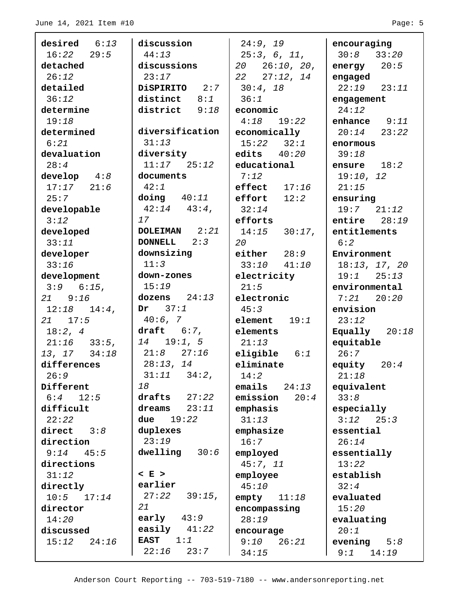| desired $6:13$   | discussion             | 24:9, 19               | encouraging     |
|------------------|------------------------|------------------------|-----------------|
| $16:22$ $29:5$   | 44:13                  | 25:3, 6, 11,           | $30:8$ $33:20$  |
| detached         | discussions            | $20 \quad 26:10, 20,$  | energy $20:5$   |
| 26:12            | 23:17                  | $22 \quad 27:12,14$    | engaged         |
| detailed         | DiSPIRITO 2:7          | 30:4, 18               | $22:19$ $23:11$ |
| 36:12            | distinct $8:1$         | 36:1                   | engagement      |
| determine        | district 9:18          | economic               | 24:12           |
| 19:18            |                        | $4:18$ 19:22           | enhance $9:11$  |
| determined       | diversification        | economically           | $20:14$ $23:22$ |
| 6:21             | 31:13                  | $15:22$ $32:1$         | enormous        |
| devaluation      | diversity              | edits $40:20$          | 39:18           |
| 28:4             | $11:17$ $25:12$        | educational            | ensure $18:2$   |
| develop $4:8$    | documents              | 7:12                   | 19:10, 12       |
| $17:17$ $21:6$   | 42:1                   | effect $17:16$         | 21:15           |
| 25:7             | $\text{doing}$ $40:11$ | $effort$ $12:2$        | ensuring        |
| developable      | $42:14$ $43:4$ ,       | 32:14                  | $19:7$ $21:12$  |
| 3:12             | 17                     | efforts                | entire $28:19$  |
| developed        | DOLEIMAN $2:21$        | $14:15$ $30:17$ ,      | entitlements    |
| 33:11            | <b>DONNELL</b> $2:3$   | 20                     | 6:2             |
| developer        | downsizing             | either $28:9$          | Environment     |
| 33:16            | 11:3                   | $33:10$ $41:10$        | 18:13, 17, 20   |
| development      | down-zones             | electricity            | $19:1$ $25:13$  |
| $3:9$ 6:15,      | 15:19                  | 21:5                   | environmental   |
| 21 9:16          | dozens $24:13$         | electronic             | $7:21$ $20:20$  |
| $12:18$ $14:4$ , | Dr $37:1$              | 45:3                   | envision        |
| $21 \quad 17:5$  | $40:6$ , 7             | element $19:1$         | 23:12           |
| 18:2, 4          | draft $6:7$ ,          | elements               | Equally $20:18$ |
| $21:16$ $33:5$ , | $14$ 19:1, 5           | 21:13                  | equitable       |
| $13, 17$ $34:18$ | $21:8$ $27:16$         | $\vert$ eligible $6:1$ | 26:7            |
| differences      | 28:13, 14              | eliminate              | equity $20:4$   |
| 26:9             | $31:11$ $34:2$ ,       | 14:2                   | 21:18           |
| Different        | 18                     | emails<br>24:13        | equivalent      |
| $6:4$ 12:5       | drafts<br>27:22        | emission<br>20:4       | 33:8            |
| difficult        | 23:11<br>dreams        | emphasis               | especially      |
| 22:22            | 19:22<br>due           | 31:13                  | $3:12$ $25:3$   |
|                  | duplexes               |                        |                 |
| direct $3:8$     | 23:19                  | emphasize              | essential       |
| direction        |                        | 16:7                   | 26:14           |
| 9:14<br>45:5     | dwelling<br>30:6       | employed               | essentially     |
| directions       | $< E$ >                | 45:7, 11               | 13:22           |
| 31:12            |                        | employee               | establish       |
| directly         | earlier                | 45:10                  | 32:4            |
| $10:5$ $17:14$   | 27:22<br>39:15,        | $empty$ $11:18$        | evaluated       |
| director         | 21                     | encompassing           | 15:20           |
| 14:20            | early<br>43:9          | 28:19                  | evaluating      |
| discussed        | easily $41:22$         | encourage              | 20:1            |
| 15:12<br>24:16   | EAST $1:1$             | 9:10<br>26:21          | evening $5:8$   |
|                  | 22:16<br>23:7          | 34:15                  | 9:1<br>14:19    |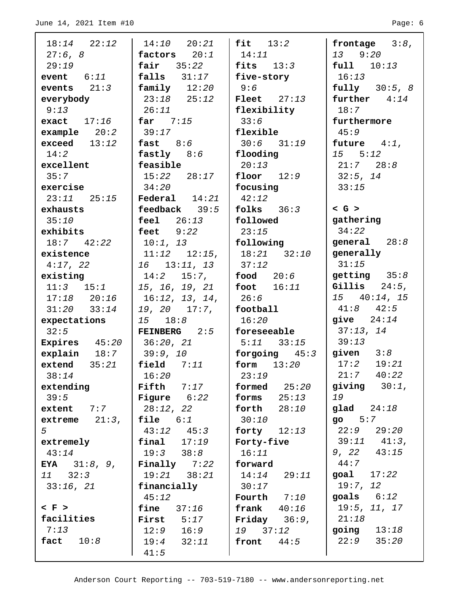| $18:14$ $22:12$       | $14:10$ $20:21$            | fit $13:2$             | frontage $3:8$ ,         |
|-----------------------|----------------------------|------------------------|--------------------------|
| 27:6,8                | factors $20:1$             | 14:11                  | 139:20                   |
| 29:19                 | fair 35:22                 | fits $13:3$            | $full$ $10:13$           |
| event $6:11$          | $falls$ $31:17$            | five-story             | 16:13                    |
| events $21:3$         | family $12:20$             | 9:6                    | <b>fully</b> $30:5, 8$   |
| everybody             | $23:18$ $25:12$            | $\textbf{Fleet}$ 27:13 | further $4:14$           |
| 9:13                  | 26:11                      | flexibility            | 18:7                     |
| exact $17:16$         | far $7:15$                 | 33:6                   | furthermore              |
| example $20:2$        | 39:17                      | flexible               | 45:9                     |
| exceed 13:12          | fast $8:6$                 | $30:6$ $31:19$         | future $4:1$ ,           |
| 14:2                  | fastly $8:6$               | flooding               | $15 \quad 5:12$          |
| excellent             | feasible                   | 20:13                  | 21:7 28:8                |
| 35:7                  | $15:22$ $28:17$            | floor $12:9$           | 32:5, 14                 |
| exercise              | 34:20                      | focusing               | 33:15                    |
| $23:11$ $25:15$       | $\textbf{Federal}$ $14:21$ | 42:12                  |                          |
| exhausts              | feedback $39:5$            | folks $36:3$           | $<$ G $>$                |
| 35:10                 | feel $26:13$               | followed               | gathering                |
| exhibits              | feet $9:22$                | 23:15                  | 34:22                    |
| $18:7$ $42:22$        | 10:1, 13                   | following              | general $28:8$           |
| existence             | $11:12$ $12:15$ ,          | $18:21$ $32:10$        | generally                |
| 4:17, 22              | 16 13:11, 13               | 137:12                 | 31:15                    |
| existing              | $14:2$ 15:7,               | $\sqrt{1000}$ 20:6     | getting $35:8$           |
| $11:3$ $15:1$         | 15, 16, 19, 21             | $\vert$ foot $16:11$   | Gillis $24:5$ ,          |
| $17:18$ $20:16$       | 16:12, 13, 14,             | 126:6                  | $15 \quad 40:14, 15$     |
| $31:20$ $33:14$       | 19, 20 17:7,               | football               | $41:8$ $42:5$            |
| expectations          | $15 \t 18:8$               | 16:20                  | give $24:14$             |
| 32:5                  | <b>FEINBERG</b> $2:5$      | foreseeable            | 37:13, 14                |
| Expires $45:20$       | 36:20, 21                  | $5:11$ $33:15$         | 39:13                    |
| $explain$ 18:7        | 39:9, 10                   | forgoing $45:3$        | $ $ given $3:8$          |
| extend $35:21$        | field $7:11$               | form $13:20$           | $17:2$ $19:21$           |
| 38:14                 | 16:20                      | 23:19                  | 21:7<br>40:22            |
| extending             | Fifth $7:17$               | formed $25:20$         | giving $30:1$ ,          |
| 39:5                  | <b>Figure</b> $6:22$       | forms $25:13$          | 19                       |
| extent 7:7            | 28:12, 22                  | forth<br>28:10         | glad $24:18$             |
| extreme $21:3$ ,      | $\texttt{file}$ $6:1$      | 30:10                  | go 5:7                   |
| 5                     | $43:12$ $45:3$             | forty $12:13$          | $22:9$ $29:20$           |
| extremely             | $final$ $17:19$            | Forty-five             | $39:11$ $41:3$ ,         |
| 43:14                 | 19:3 38:8                  | 16:11                  | $9, 22$ $43:15$          |
| <b>EYA</b> $31:8, 9,$ | Finally $7:22$             | forward                | 44:7                     |
| $11 \t 32:3$          | 19:21<br>38:21             | $14:14$ 29:11          | goal 17:22               |
| 33:16, 21             | financially                | 30:17                  | 19:7, 12                 |
|                       | 45:12                      | Fourth $7:10$          | $\texttt{goals}$ $6:12$  |
| $\langle$ F $\rangle$ | fine $37:16$               | frank $40:16$          | 19:5, 11, 17             |
| facilities            | <b>First</b> $5:17$        | Friday $36:9$ ,        | 21:18                    |
| 7:13                  | $12:9$ $16:9$              | 19 37:12               | $\mathsf{going}$ $13:18$ |
| fact $10:8$           | $19:4$ $32:11$             | front $44:5$           | $22:9$ $35:20$           |
|                       | 41:5                       |                        |                          |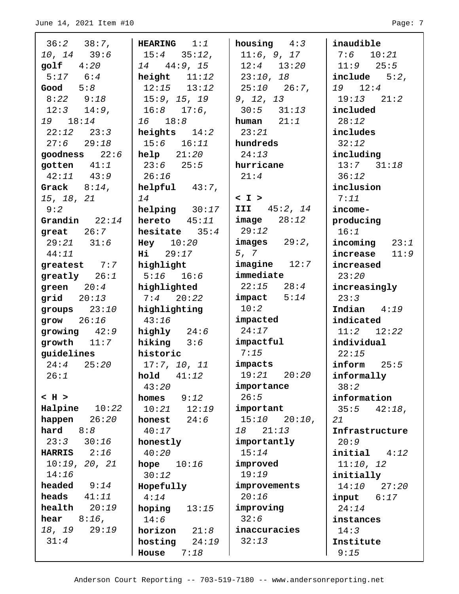$\overline{a}$ 

| $36:2$ $38:7$ ,      | <b>HEARING</b> $1:1$ | housing $4:3$         | inaudible           |
|----------------------|----------------------|-----------------------|---------------------|
| $10, 14$ 39:6        | $15:4$ $35:12$ ,     | 11:6, 9, 17           | $7:6$ 10:21         |
| golf 4:20            | 14 44:9, 15          | $12:4$ $13:20$        | $11:9$ $25:5$       |
| $5:17$ $6:4$         | height $11:12$       | 23:10, 18             | include $5:2$ ,     |
| Good 5:8             | $12:15$ $13:12$      | $25:10$ $26:7$ ,      | 19 12:4             |
| $8:22$ $9:18$        | 15:9, 15, 19         | 9, 12, 13             | $19:13$ $21:2$      |
| $12:3$ $14:9$ ,      | $16:8$ $17:6$ ,      | $30:5$ $31:13$        | included            |
| 19 18:14             | 16 18:8              | human $21:1$          | 28:12               |
| $22:12$ $23:3$       | heights $14:2$       | 23:21                 | includes            |
| $27:6$ 29:18         | $15:6$ $16:11$       | hundreds              | 32:12               |
| goodness $22:6$      | $help$ $21:20$       | 24:13                 | including           |
| gotten $41:1$        | $23:6$ $25:5$        | hurricane             | $13:7$ $31:18$      |
| $42:11$ $43:9$       | 126:16               | 21:4                  | 36:12               |
| Grack $8:14$ ,       | $helpful$ 43:7,      |                       | inclusion           |
| 15, 18, 21           | 14                   | < I >                 | 7:11                |
| 9:2                  | $helping$ 30:17      | <b>III</b> $45:2, 14$ | income-             |
| Grandin $22:14$      | hereto $45:11$       | image 28:12           | producing           |
| great $26:7$         | hesitate $35:4$      | 29:12                 | 16:1                |
| $29:21$ $31:6$       | $\text{Hey}$ 10:20   | images 29:2,          | incoming $23:1$     |
| 44:11                | Hi 29:17             | 5, 7                  | increase<br>11:9    |
| greatest 7:7         | highlight            | image 12:7            | increased           |
| greatly $26:1$       | $5:16$ $16:6$        | immediate             | 23:20               |
| green $20:4$         | highlighted          | $22:15$ $28:4$        | increasingly        |
| grid $20:13$         | $7:4$ 20:22          | $impect$ $5:14$       | 23:3                |
| groups $23:10$       | highlighting         | 10:2                  | Indian $4:19$       |
| grow 26:16           | 43:16                | impacted              | indicated           |
| growing $42:9$       | highly 24:6          | 24:17                 | $11:2$ $12:22$      |
| growth $11:7$        | hiking $3:6$         | impactful             | individual          |
| guidelines           | historic             | 7:15                  | 22:15               |
| $24:4$ $25:20$       | 17:7, 10, 11         | impacts               | inform 25:5         |
| 26:1                 | hold<br>41:12        | 19:21 20:20           | informally          |
|                      | 43:20                | importance            | 38:2                |
| $$\rm{\it H}>$$      | 9:12<br>homes        | 26:5                  | information         |
| Halpine<br>10:22     | 10:21<br>12:19       | important             | 35:5<br>42:18,      |
| happen<br>26:20      | 24:6<br>honest       | 15:10 20:10,          | 21                  |
| hard $8:8$           | 40:17                | 21:13<br>18           | Infrastructure      |
| $23:3$ $30:16$       | honestly             | importantly           | 20:9                |
| <b>HARRIS</b> $2:16$ | 40:20                | 15:14                 | $initial$ $4:12$    |
| 10:19, 20, 21        | hope $10:16$         | improved              | 11:10, 12           |
| 14:16                | 30:12                | 19:19                 | initially           |
| headed<br>9:14       | Hopefully            | improvements          | 14:10<br>27:20      |
| heads<br>41:11       | 4:14                 | 20:16                 | $input \qquad 6:17$ |
| health<br>20:19      | hoping<br>13:15      | improving             | 24:14               |
| hear<br>$8:16$ ,     | 14:6                 | 32:6                  | instances           |
| 18, 19<br>29:19      | horizon<br>21:8      | inaccuracies          | 14:3                |
| 31:4                 | hosting $24:19$      | 32:13                 | Institute           |
|                      | House<br>7:18        |                       | 9:15                |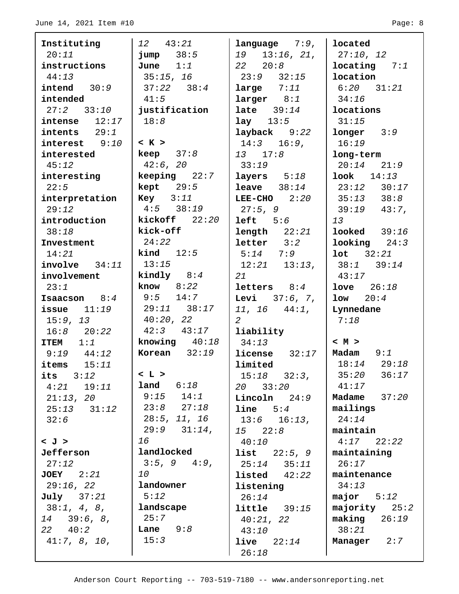| Instituting             | $12 \t 43:21$         | language 7:9,          | located                 |
|-------------------------|-----------------------|------------------------|-------------------------|
| 20:11                   | $jump$ $38:5$         | 13:16, 21,<br>19       | 27:10, 12               |
| instructions            | June $1:1$            | $22 \t 20:8$           | $\text{locating}$ 7:1   |
| 44:13                   | 35:15, 16             | $23:9$ $32:15$         | location                |
| intend $30:9$           | $37:22$ $38:4$        | large $7:11$           | $6:20$ $31:21$          |
| intended                | 41:5                  | larger 8:1             | 34:16                   |
| $27:2$ $33:10$          | justification         | late $39:14$           | locations               |
| intense $12:17$         | 18:8                  | lay $13:5$             | 31:15                   |
| intents $29:1$          |                       | $layback$ 9:22         | $longer$ $3:9$          |
| interest 9:10           | < K >                 | $14:3$ $16:9$ ,        | 16:19                   |
| interested              | keep $37:8$           | $13 \t 17:8$           | long-term               |
| 45:12                   | 42:6, 20              | 33:19                  | $20:14$ $21:9$          |
| interesting             | $keeping$ 22:7        | layers $5:18$          | $\textbf{look}$ $14:13$ |
| 22:5                    | $\text{kept}$ 29:5    | <b>leave</b> $38:14$   | $23:12$ $30:17$         |
| interpretation          | <b>Key</b> $3:11$     | LEE-CHO $2:20$         | $35:13$ $38:8$          |
| 29:12                   | $4:5$ 38:19           | 27:5, 9                | $39:19$ $43:7$ ,        |
| introduction            | $kickoff$ $22:20$     | left  5:6              | 13                      |
| 38:18                   | kick-off              | $length$ $22:21$       | $\textbf{looked}$ 39:16 |
| Investment              | 24:22                 | letter 3:2             | $\text{looking}$ 24:3   |
| 14:21                   | <b>kind</b> $12:5$    | $5:14$ 7:9             | $1$ ot $32:21$          |
| $involve$ $34:11$       | 13:15                 | $12:21$ $13:13$ ,      | $38:1$ $39:14$          |
| involvement             | kindly $8:4$          | 21                     | 43:17                   |
| 23:1                    | know $8:22$           | letters $8:4$          | $1$ ove $26:18$         |
| Isaacson $8:4$          | $9:5$ 14:7            | <b>Levi</b> $37:6, 7,$ | $1ow \qquad 20:4$       |
| issue $11:19$           | $29:11$ $38:17$       | $11, 16$ $44:1,$       | Lynnedane               |
| 15:9, 13                | 40:20, 22             | $\overline{2}$         | 7:18                    |
| $16:8$ $20:22$          | $42:3$ $43:17$        | liability              |                         |
| <b>ITEM</b><br>1:1      | knowing $40:18$       | 34:13                  | ~<~M~>                  |
| $9:19$ $44:12$          | <b>Korean</b> $32:19$ | $license$ $32:17$      | Madam $9:1$             |
| items $15:11$           |                       | limited                | $18:14$ $29:18$         |
| its $3:12$              | < L >                 | $15:18$ $32:3$ ,       | 35:20<br>36:17          |
| $4:21$ 19:11            | land $6:18$           | $20 \quad 33:20$       | 41:17                   |
| 21:13, 20               | $9:15$ $14:1$         | $Lincoln$ $24:9$       | Madame<br>37:20         |
| $25:13$ $31:12$         | $23:8$ $27:18$        | line $5:4$             | mailings                |
| 32:6                    | 28:5, 11, 16          | $13:6$ $16:13$ ,       | 24:14                   |
|                         | $29:9$ $31:14$ ,      | $15 \t 22:8$           | maintain                |
| < J >                   | 16                    | 40:10                  | $4:17$ $22:22$          |
| Jefferson               | landlocked            | <b>list</b> $22:5, 9$  | maintaining             |
| 27:12                   | $3:5, 9$ 4:9,         | $25:14$ $35:11$        | 26:17                   |
| $JOEY$ $2:21$           | 10                    | listed $42:22$         | maintenance             |
| 29:16, 22               | landowner             | listening              | 34:13                   |
| $\texttt{July}$ $37:21$ | 5:12                  | 26:14                  | major $5:12$            |
| 38:1, 4, 8,             | landscape             | $little$ $39:15$       | majority $25:2$         |
| $14$ 39:6, 8,           | 25:7                  | 40:21, 22              | $\text{making}$ 26:19   |
| $22 \t 40:2$            | <b>Lane</b> $9:8$     | 43:10                  | 38:21                   |
| 41:7, 8, 10,            | 15:3                  | $live$ $22:14$         | Manager 2:7             |
|                         |                       | 26:18                  |                         |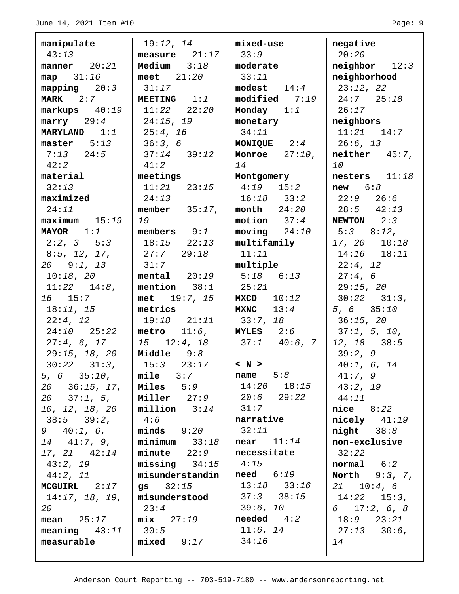| manipulate            | 19:12, 14            | mixed-use               | negative               |
|-----------------------|----------------------|-------------------------|------------------------|
| 43:13                 | measure $21:17$      | 33:9                    | 20:20                  |
| manner $20:21$        | Medium $3:18$        | moderate                | $neighbor$ 12:3        |
| map $31:16$           | meet $21:20$         | 33:11                   | neighborhood           |
| mapping $20:3$        | 31:17                | modest $14:4$           | 23:12, 22              |
| MARK $2:7$            | <b>MEETING</b> $1:1$ | $modified$ 7:19         | $24:7$ $25:18$         |
| $markups$ 40:19       | $11:22$ $22:20$      | Monday $1:1$            | 26:17                  |
| $mary 29:4$           | 24:15, 19            | monetary                | neighbors              |
| <b>MARYLAND</b> $1:1$ | 25:4, 16             | 34:11                   | $11:21$ $14:7$         |
| master $5:13$         | 36:3, 6              | <b>MONIQUE</b> $2:4$    | 26:6, 13               |
| $7:13$ $24:5$         | $37:14$ $39:12$      | <b>Monroe</b> $27:10$ , | $neither$ 45:7,        |
| 42:2                  | 41:2                 | 14                      | 10                     |
| material              | meetings             | Montgomery              | nesters $11:18$        |
| 32:13                 | $11:21$ $23:15$      | $4:19$ $15:2$           | $new = 6:8$            |
| maximized             | 24:13                | $16:18$ $33:2$          | $22:9$ $26:6$          |
| 24:11                 | member $35:17$ ,     | month $24:20$           | $28:5$ $42:13$         |
| $maximum$ 15:19       | 19                   | motion $37:4$           | NEWTON $2:3$           |
| $\texttt{MAYOR}$ 1:1  | members $9:1$        | $moving$ $24:10$        | $5:3$ $8:12$ ,         |
| $2:2, 3$ 5:3          | $18:15$ $22:13$      | multifamily             | 17, 20 10:18           |
| 8:5, 12, 17,          | 27:7 29:18           | 11:11                   | $14:16$ $18:11$        |
| $20 \t 9:1, 13$       | 31:7                 | multiple                | 22:4, 12               |
| $10:18$ , 20          | mental $20:19$       | $5:18$ $6:13$           | 27:4,6                 |
| $11:22$ $14:8$ ,      | mention $38:1$       | 25:21                   | 29:15, 20              |
| 16 15:7               | met 19:7, 15         | <b>MXCD</b><br>10:12    | $30:22$ $31:3$ ,       |
| 18:11, 15             | metrics              | <b>MXNC</b><br>13:4     | 5, 6 $35:10$           |
| 22:4, 12              | $19:18$ $21:11$      | 33:7, 18                | 36:15, 20              |
| $24:10$ $25:22$       | metro $11:6$ ,       | MYLES $2:6$             | 37:1, 5, 10,           |
| 27:4, 6, 17           | $15 \quad 12:4, 18$  | $37:1$ $40:6$ , 7       | $12, 18$ $38:5$        |
| 29:15, 18, 20         | Middle 9:8           |                         | 39:2, 9                |
| $30:22$ $31:3$ ,      | $15:3$ $23:17$       | < N>                    | 40:1, 6, 14            |
| 5, 6 35:10,           | $\texttt{mile}$ 3:7  | name $5:8$              | 41:7, 9                |
| $20$ $36:15$ , $17$ , | $Miles$ 5:9          | $14:20$ $18:15$         | 43:2, 19               |
| $20 \quad 37:1, 5,$   | Miller 27:9          | $20:6$ 29:22            | 44:11                  |
| 10, 12, 18, 20        | $minion$ $3:14$      | 31:7                    | $nice$ $8:22$          |
| $38:5$ $39:2$ ,       | 4:6                  | narrative               | $nicely$ $41:19$       |
| 9 40:1, 6,            | $minds$ 9:20         | 32:11                   | $night$ $38:8$         |
| $14 \quad 41:7,9,$    | minimum 33:18        | near $11:14$            | non-exclusive          |
| $17, 21$ $42:14$      | $minute$ $22:9$      | necessitate             | 32:22                  |
| 43:2, 19              | $missing$ 34:15      | 4:15                    | normal 6:2             |
| $44:2$ , 11           | misunderstandin      | $need$ $6:19$           | <b>North</b> $9:3, 7,$ |
| $MCGUIRL$ $2:17$      | gs $32:15$           | $13:18$ $33:16$         | $21 \quad 10:4,6$      |
| 14:17, 18, 19,        | misunderstood        | $37:3$ $38:15$          | $14:22$ $15:3$ ,       |
| 20                    | 23:4                 | 39:6, 10                | $6$ 17:2, 6, 8         |
| mean $25:17$          | $mix$ 27:19          | $\bf{needed}$ 4:2       | 18:9 23:21             |
| meaning $43:11$       | 30:5                 | 11:6, 14                | $27:13$ $30:6$ ,       |
| measurable            | $mixed$ 9:17         | 34:16                   | 14                     |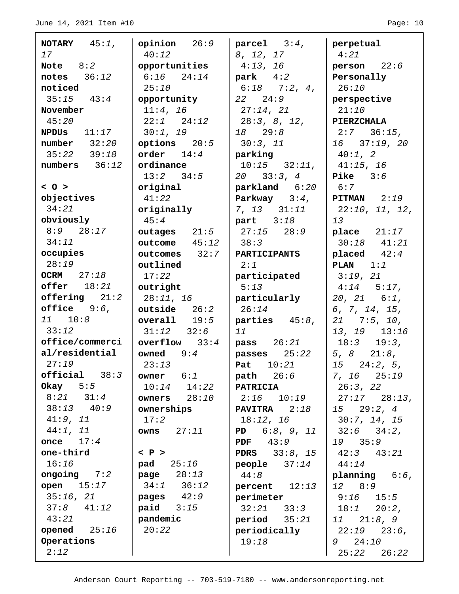| <b>NOTARY</b> $45:1$ , | opinion 26:9          | $\texttt{parcel}$ 3:4, | perpetual                                   |
|------------------------|-----------------------|------------------------|---------------------------------------------|
| 17                     | 40:12                 | 8, 12, 17              | 4:21                                        |
| Note $8:2$             | opportunities         | 4:13, 16               | person 22:6                                 |
| notes $36:12$          | $6:16$ $24:14$        | $\mathbf{park}$ 4:2    | Personally                                  |
| noticed                | 25:10                 | $6:18$ 7:2, 4,         | 26:10                                       |
| $35:15$ $43:4$         | opportunity           | $22 \quad 24:9$        | perspective                                 |
| November               | 11:4, 16              | 27:14, 21              | 21:10                                       |
| 45:20                  | $22:1$ $24:12$        | 28:3, 8, 12,           | PIERZCHALA                                  |
| <b>NPDUS</b> $11:17$   | 30:1, 19              | 18 29:8                | $2:7$ $36:15$ ,                             |
| number 32:20           | options $20:5$        | 30:3, 11               | $16$ $37:19$ , $20$                         |
| $35:22$ $39:18$        | order $14:4$          | parking                | $40:1$ , 2                                  |
| numbers $36:12$        | ordinance             | $10:15$ $32:11$ ,      | 41:15, 16                                   |
|                        | $13:2$ $34:5$         | $20 \quad 33:3,4$      | Pike $3:6$                                  |
| 0 >                    | original              | parkland 6:20          | 6:7                                         |
| objectives             | 41:22                 | Parkway $3:4$ ,        | <b>PITMAN</b> $2:19$                        |
| 34:21                  | originally            | $7, 13$ $31:11$        | $22:10$ , 11, 12,                           |
| obviously              | 45:4                  | part $3:18$            | 13                                          |
| $8:9$ $28:17$          | $outages$ $21:5$      | $27:15$ $28:9$         | $plane$ $21:17$                             |
| 34:11                  | outcome 45:12         | 38:3                   | $30:18$ $41:21$                             |
| occupies               | $outcomes$ 32:7       | <b>PARTICIPANTS</b>    | placed $42:4$                               |
| 28:19                  | outlined              | 2:1                    | <b>PLAN</b> $1:1$                           |
| <b>OCRM</b> 27:18      | 17:22                 | participated           | 3:19, 21                                    |
| $offer$ $18:21$        | outright              | 5:13                   | $4:14$ $5:17$ ,                             |
| $offering$ $21:2$      | 28:11, 16             | particularly           | $20, 21$ 6:1,                               |
| office $9:6$ ,         | outside 26:2          | 26:14                  | 6, 7, 14, 15,                               |
| 11 10:8                | overall $19:5$        | parties $45:8$ ,       | $21$ 7:5, 10,                               |
| 33:12                  | $31:12$ $32:6$        | 11                     | $13, 19$ $13:16$                            |
| office/commerci        | overflow $33:4$       | pass 26:21             | $18:3$ $19:3$ ,                             |
| al/residential         | owned $9:4$           | $passes$ $25:22$       | $\begin{bmatrix} 5, 8 & 21:8 \end{bmatrix}$ |
| 27:19                  | 23:13                 | <b>Pat</b> $10:21$     | $15$ $24:2, 5,$                             |
| $official 38:3$        | owner $6:1$           | path 26:6              | 7, 16 25:19                                 |
| Okay $5:5$             | $10:14$ $14:22$       | <b>PATRICIA</b>        | 26:3, 22                                    |
| $8:21$ $31:4$          | owners $28:10$        | $2:16$ $10:19$         | $27:17$ $28:13$ ,                           |
| $38:13$ $40:9$         | ownerships            | <b>PAVITRA</b> 2:18    | $15$ $29:2$ , $4$                           |
| 41:9, 11               | 17:2                  | 18:12, 16              | 30:7, 14, 15                                |
| 44:1, 11               | 27:11<br>owns         | PD 6:8, 9, 11          | $32:6$ $34:2$ ,                             |
| once $17:4$            |                       | PDF $43:9$             | 19 35:9                                     |
| one-third              | $\langle$ P $\rangle$ | <b>PDRS</b> $33:8, 15$ | $42:3$ $43:21$                              |
| 16:16                  | pad 25:16             | $people$ $37:14$       | 44:14                                       |
| ongoing $7:2$          | <b>page</b> $28:13$   | 44:8                   | planning 6:6,                               |
| open $15:17$           | $34:1$ $36:12$        | percent $12:13$        | 12 8:9                                      |
| 35:16, 21              | <b>pages</b> $42:9$   | perimeter              | $9:16$ 15:5                                 |
| $37:8$ $41:12$         | $paid \t3:15$         | $32:21$ $33:3$         | $18:1 20:2$ ,                               |
| 43:21                  | pandemic              | $period$ $35:21$       | 11 21:8,9                                   |
| opened $25:16$         | 20:22                 | periodically           | $22:19$ $23:6$ ,                            |
| Operations             |                       | 19:18                  | 9 24:10                                     |
| 2:12                   |                       |                        | 26:22<br>25:22                              |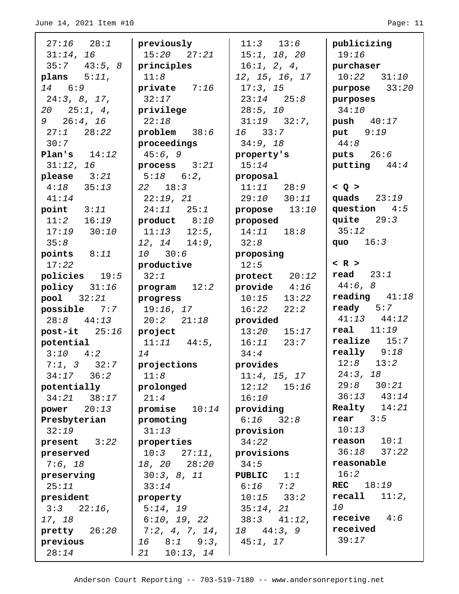$\overline{a}$ 

| $27:16$ $28:1$        | previously          | $11:3$ $13:6$       | publicizing        |
|-----------------------|---------------------|---------------------|--------------------|
| 31:14, 16             | $15:20$ $27:21$     | 15:1, 18, 20        | 19:16              |
| $35:7$ 43:5, 8        | principles          | 16:1, 2, 4,         | purchaser          |
| plans $5:11$ ,        | 11:8                | 12, 15, 16, 17      | $10:22$ $31:10$    |
| 14 6:9                | private $7:16$      | 17:3, 15            | purpose $33:20$    |
| 24:3, 8, 17,          | 32:17               | $23:14$ $25:8$      | purposes           |
| $20 \quad 25:1, 4,$   | privilege           | 28:5, 10            | 34:10              |
| $9\quad 26:4, 16$     | 22:18               | $31:19$ $32:7$ ,    | push $40:17$       |
| $27:1$ $28:22$        | $problem$ 38:6      | 16 33:7             | put 9:19           |
| 30:7                  | proceedings         | 34:9, 18            | 44:8               |
| Plan's $14:12$        | 45:6, 9             | property's          | puts $26:6$        |
| $31:12$ , 16          | process $3:21$      | 15:14               | putting $44:4$     |
| please $3:21$         | $5:18$ $6:2$ ,      | proposal            |                    |
| $4:18$ $35:13$        | $22 \t 18:3$        | $11:11$ $28:9$      | Q >                |
| 41:14                 | 22:19, 21           | $29:10$ $30:11$     | quads $23:19$      |
| $point$ $3:11$        | $24:11$ $25:1$      | propose $13:10$     | question $4:5$     |
| $11:2$ $16:19$        | product $8:10$      | proposed            | quite $29:3$       |
| $17:19$ $30:10$       | $11:13$ $12:5$ ,    | $14:11$ $18:8$      | 35:12              |
| 35:8                  | $12, 14$ $14:9,$    | 32:8                | quo $16:3$         |
| points $8:11$         | 10 30:6             | proposing           |                    |
| 17:22                 | productive          | 12:5                | < R >              |
| policies $19:5$       | 32:1                | protect $20:12$     | $\text{read}$ 23:1 |
| policy 31:16          | program 12:2        | provide $4:16$      | 44:6, 8            |
| $pool$ $32:21$        | progress            | $10:15$ $13:22$     | reading $41:18$    |
| possible 7:7          | 19:16, 17           | $16:22$ $22:2$      | $\bf{ready}$ 5:7   |
| $28:8$ $44:13$        | $20:2$ $21:18$      | provided            | $41:13$ $44:12$    |
| $post-it$ 25:16       | project             | $13:20$ $15:17$     | real 11:19         |
| potential             | $11:11$ $44:5$ ,    | $16:11$ $23:7$      | $realize$ 15:7     |
| $3:10 \ 4:2$          | 14                  | 34:4                | really $9:18$      |
| $7:1, 3$ 32:7         | projections         | provides            | $12:8$ $13:2$      |
| $34:17$ $36:2$        | 11:8                | 11:4, 15, 17        | 24:3, 18           |
| potentially           | prolonged           | $12:12$ $15:16$     | 29:8<br>30:21      |
| 34:21<br>38:17        | 21:4                | 16:10               | $36:13$ $43:14$    |
| power $20:13$         | promise $10:14$     | providing           | Realty $14:21$     |
| Presbyterian          | promoting           | $6:16$ $32:8$       | rear $3:5$         |
| 32:19                 | 31:13               | provision           | 10:13              |
| present 3:22          | properties          | 34:22               | 10:1<br>reason     |
| preserved             | $10:3$ $27:11$ ,    | provisions          | 37:22<br>36:18     |
| 7:6, 18               | 18, 20 28:20        | 34:5                | reasonable         |
| preserving            | 30:3, 8, 11         | <b>PUBLIC</b> $1:1$ | 16:2               |
| 25:11                 | 33:14               | $6:16$ $7:2$        | <b>REC</b> $18:19$ |
| president             | property            | $10:15$ $33:2$      | recall<br>11:2,    |
| $3:3$ $22:16$ ,       | 5:14, 19            | 35:14, 21           | 10                 |
| 17, 18                | $6:10$ , 19, 22     | $38:3$ $41:12$ ,    | receive $4:6$      |
| $\text{pretty}$ 26:20 | 7:2, 4, 7, 14,      | 18 44:3, 9          | received           |
| previous              | $16 \t 8:1 \t 9:3,$ | 45:1, 17            | 39:17              |
| 28:14                 | 21<br>10:13, 14     |                     |                    |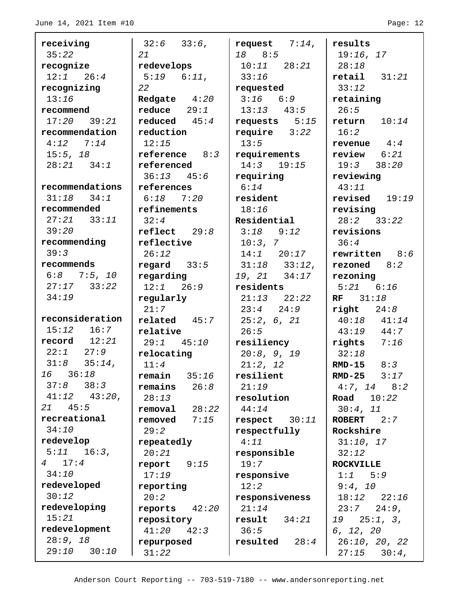| receiving            | $32:6$ $33:6$ , | request $7:14$ ,  | results                 |
|----------------------|-----------------|-------------------|-------------------------|
| 35:22                | 21              | 18 8:5            | 19:16, 17               |
| recognize            | redevelops      | $10:11$ $28:21$   | 28:18                   |
| 12:1 26:4            | $5:19$ $6:11$ , | 33:16             | $\texttt{retail}$ 31:21 |
| recognizing          | 22              | requested         | 33:12                   |
| 13:16                | Redgate $4:20$  | $3:16$ $6:9$      | retaining               |
| recommend            | reduce 29:1     | $13:13$ $43:5$    | 26:5                    |
| $17:20$ $39:21$      | reduced $45:4$  | requests $5:15$   | return $10:14$          |
| recommendation       | reduction       | $require 3:22$    | 16:2                    |
| $4:12$ $7:14$        | 12:15           | 13:5              | revenue $4:4$           |
| 15:5, 18             | reference $8:3$ | requirements      | review $6:21$           |
| $28:21$ $34:1$       | referenced      | $14:3$ $19:15$    | $19:3$ $38:20$          |
|                      | $36:13$ $45:6$  | requiring         | reviewing               |
| recommendations      | references      | 6:14              | 43:11                   |
| 31:18<br>34:1        | $6:18$ $7:20$   | resident          | revised $19:19$         |
| recommended          | refinements     | 18:16             | revising                |
| $27:21$ $33:11$      | 32:4            | Residential       | $28:2$ $33:22$          |
| 39:20                | reflect 29:8    | $3:18$ $9:12$     | revisions               |
| recommending         | reflective      | 10:3, 7           | 36:4                    |
| 39:3                 | 26:12           | 14:1 20:17        | rewritten $8:6$         |
| recommends           | regard $33:5$   | $31:18$ $33:12$ , | rezoned $8:2$           |
| $6:8$ 7:5, 10        | regarding       | 19, 21 34:17      | rezoning                |
| $27:17$ $33:22$      | 12:1 26:9       | residents         | $5:21$ $6:16$           |
| 34:19                | regularly       | $21:13$ $22:22$   | $RF$ 31:18              |
|                      | 21:7            | 23:4 24:9         | $right \quad 24:8$      |
| reconsideration      | related 45:7    | 25:2, 6, 21       | $40:18$ $41:14$         |
| $15:12$ $16:7$       | relative        | 26:5              | $43:19$ $44:7$          |
| $\bf record$ $12:21$ | $29:1$ 45:10    | resiliency        | rights $7:16$           |
| $22:1$ $27:9$        | relocating      | 20:8, 9, 19       | 32:18                   |
| $31:8$ $35:14$ ,     | 11:4            | 21:2, 12          | $RMD-15$ 8:3            |
| 16 36:18             | remain<br>35:16 | resilient         | <b>RMD-25</b> $3:17$    |
| $37:8$ $38:3$        | remains<br>26:8 | 21:19             | $4:7, 14$ $8:2$         |
| $41:12$ $43:20$ ,    | 28:13           | resolution        | Road $10:22$            |
| 21 45:5              | removal 28:22   | 44:14             | 30:4, 11                |
| recreational         | 7:15<br>removed | respect 30:11     | ROBERT $2:7$            |
| 34:10                | 29:2            | respectfully      | Rockshire               |
| redevelop            | repeatedly      | 4:11              | 31:10, 17               |
| $5:11$ $16:3$ ,      | 20:21           | responsible       | 32:12                   |
| $4 \quad 17:4$       | report 9:15     | 19:7              | <b>ROCKVILLE</b>        |
| 34:10                | 17:19           | responsive        | 1:1 5:9                 |
| redeveloped          | reporting       | 12:2              | 9:4, 10                 |
| 30:12                | 20:2            | responsiveness    | $18:12$ $22:16$         |
| redeveloping         | reports $42:20$ | 21:14             | $23:7$ $24:9$ ,         |
| 15:21                | repository      | $result$ $34:21$  | $19 \quad 25:1, 3,$     |
| redevelopment        | $41:20$ $42:3$  | 36:5              | 6, 12, 20               |
| 28:9, 18             | repurposed      | $resulted$ 28:4   | 26:10, 20, 22           |
| 29:10<br>30:10       | 31:22           |                   | 27:15<br>30:4,          |
|                      |                 |                   |                         |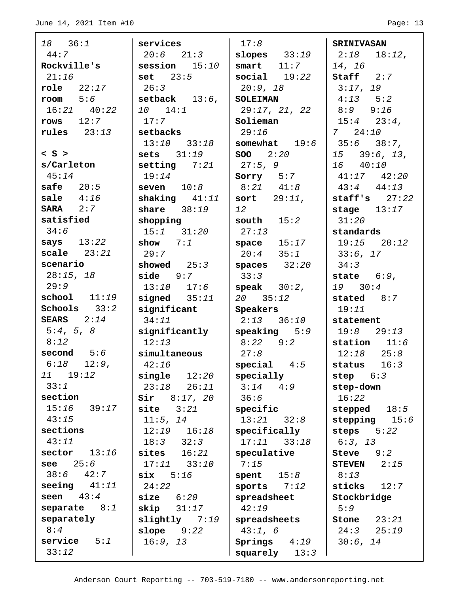| 18 36:1                 | services                    | 17:8                            | <b>SRINIVASAN</b>       |
|-------------------------|-----------------------------|---------------------------------|-------------------------|
| 44:7                    | $20:6$ $21:3$               | slopes $33:19$                  | 18:12,<br>2:18          |
| Rockville's             | $s$ ession $15:10$          | $smart$ $11:7$                  | 14, 16                  |
| 21:16                   | $set$ $23:5$                | $social$ $19:22$                | Staff $2:7$             |
| $\texttt{role}$ 22:17   | 26:3                        | 20:9, 18                        | 3:17, 19                |
| room $5:6$              | setback $13:6$ ,            | <b>SOLEIMAN</b>                 | $4:13$ $5:2$            |
| $16:21$ $40:22$         | 10 14:1                     | 29:17, 21, 22                   | $8:9$ $9:16$            |
| rows $12:7$             | 17:7                        | Solieman                        | $15:4$ $23:4$ ,         |
| rules $23:13$           | setbacks                    | 29:16                           | $7\ 24:10$              |
|                         | $13:10$ $33:18$             | somewhat $19:6$                 | $35:6$ $38:7$ ,         |
| $<$ S $>$               | sets $31:19$                | SOO 2:20                        | $15$ $39:6$ , $13$ ,    |
| s/Carleton              | setting $7:21$              | 27:5, 9                         | 16 40:10                |
| 45:14                   | 19:14                       | Sorry $5:7$                     | $41:17$ $42:20$         |
| safe $20:5$             | seven $10:8$                | $8:21$ $41:8$                   | $43:4$ $44:13$          |
| sale $4:16$             | shaking $41:11$             | sort $29:11$ ,                  | staff's $27:22$         |
| $SARA$ $2:7$            | share $38:19$               | 12                              | stage $13:17$           |
| satisfied               | shopping                    | south $15:2$                    | 31:20                   |
| 34:6                    | $15:1$ $31:20$              | 27:13                           | standards               |
| says $13:22$            | show $7:1$                  | space $15:17$                   | $19:15$ $20:12$         |
| scale $23:21$           | 29:7                        | $20:4$ $35:1$                   | 33:6, 17                |
| scenario                | showed $25:3$               | spaces $32:20$                  | 34:3                    |
| 28:15, 18               | $side$ $9:7$                | 33:3                            | state $6:9$ ,           |
| 29:9                    | $13:10$ $17:6$              | speak $30:2$ ,                  | 19 30:4                 |
| $\text{school}$ $11:19$ | signed $35:11$              | $20 \quad 35:12$                | $stated \t 8:7$         |
| Schools $33:2$          | significant                 | Speakers                        | 19:11                   |
| SEARS $2:14$            | 34:11                       | $2:13$ $36:10$                  | statement               |
| 5:4, 5, 8               | significantly               | speaking $5:9$                  | $19:8$ 29:13            |
| 8:12                    | 12:13                       | $8:22$ $9:2$                    | station $11:6$          |
| second 5:6              | simultaneous                | 27:8                            | $12:18$ $25:8$          |
| $6:18$ $12:9$ ,         | 42:16                       | special 4:5                     | status $16:3$           |
| 19:12<br>11<br>33:1     | $single$ $12:20$            | specially                       | step $6:3$              |
| section                 | 23:18<br>26:11              | 3:14<br>4:9                     | step-down               |
| $15:16$ 39:17           | $\sin 8:17, 20$<br>site     | 36:6                            | 16:22                   |
| 43:15                   | 3:21                        | specific<br>$13:21$ $32:8$      | stepped<br>18:5         |
| sections                | 11:5, 14<br>$12:19$ $16:18$ |                                 | stepping $15:6$         |
| 43:11                   | $18:3$ $32:3$               | specifically<br>$17:11$ $33:18$ | steps $5:22$<br>6:3, 13 |
| sector $13:16$          | $\texttt{sites}$ $16:21$    |                                 | Steve $9:2$             |
| see $25:6$              | $17:11$ $33:10$             | speculative<br>7:15             | <b>STEVEN</b><br>2:15   |
| $38:6$ $42:7$           | $\textbf{s}$ ix $5:16$      | spent $15:8$                    | 8:13                    |
| seeing $41:11$          | 24:22                       | sports $7:12$                   | sticks<br>12:7          |
| seen $43:4$             | size 6:20                   | spreadsheet                     | Stockbridge             |
| separate $8:1$          | skip 31:17                  | 42:19                           | 5:9                     |
| separately              | slightly 7:19               | spreadsheets                    | Stone $23:21$           |
| 8:4                     | slope $9:22$                | 43:1, 6                         | $24:3$ $25:19$          |
| service $5:1$           | 16:9, 13                    | $Springs$ 4:19                  | 30:6, 14                |
| 33:12                   |                             | $squarey$ 13:3                  |                         |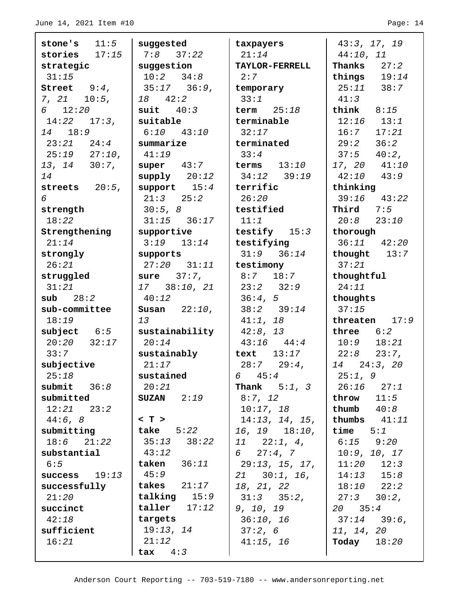| stone's $11:5$    | suggested            | taxpayers             | 43:3, 17, 19     |
|-------------------|----------------------|-----------------------|------------------|
| stories $17:15$   | $7:8$ 37:22          | 21:14                 | 44:10, 11        |
| strategic         | suggestion           | TAYLOR-FERRELL        | Thanks $27:2$    |
| 31:15             | 10:2 34:8            | 2:7                   | things $19:14$   |
| Street $9:4$ ,    | $35:17$ $36:9$ ,     | temporary             | $25:11$ $38:7$   |
| $7, 21$ 10:5,     | 18   42:2            | 33:1                  | 41:3             |
| $6 \quad 12:20$   | suit $40:3$          | term $25:18$          | think $8:15$     |
| $14:22$ $17:3$ ,  | suitable             | terminable            | $12:16$ $13:1$   |
| 14 18:9           | $6:10$ $43:10$       | 32:17                 | 16:7<br>17:21    |
| $23:21$ $24:4$    | summarize            | terminated            | 29:2<br>36:2     |
| $25:19$ $27:10$ , | 41:19                | 33:4                  | 37:5<br>$40:2$ , |
| $13, 14$ $30:7,$  | super $43:7$         | terms $13:10$         | 17, 20 41:10     |
| 14                | ${\bf supply}$ 20:12 | $34:12$ $39:19$       | $42:10$ $43:9$   |
| streets $20:5$ ,  | support $15:4$       | terrific              | thinking         |
| 6                 | $21:3$ $25:2$        | 26:20                 | $39:16$ $43:22$  |
| strength          | 30:5, 8              | testified             | Third $7:5$      |
| 18:22             | $31:15$ $36:17$      | 11:1                  | $20:8$ $23:10$   |
| Strengthening     | supportive           | testify $15:3$        | thorough         |
| 21:14             | $3:19$ $13:14$       | testifying            | $36:11$ $42:20$  |
| strongly          | supports             | $31:9$ $36:14$        | thought $13:7$   |
| 26:21             | $27:20$ $31:11$      | testimony             | 37:21            |
| struggled         | sure $37:7$ ,        | $8:7$ 18:7            | thoughtful       |
| 31:21             | 17 38:10, 21         | $23:2$ $32:9$         | 24:11            |
| $sub$ $28:2$      | 40:12                | 36:4, 5               | thoughts         |
| sub-committee     | Susan $22:10$ ,      | $38:2$ $39:14$        | 37:15            |
| 18:19             | 13                   | 41:1, 18              | threaten $17:9$  |
| subject $6:5$     | sustainability       | 42:8, 13              | three $6:2$      |
| $20:20$ $32:17$   | 20:14                | $43:16$ $44:4$        | $10:9$ $18:21$   |
| 33:7              | sustainably          | text $13:17$          | 22:8<br>$23:7$ , |
| subjective        | 21:17                | 28:7 29:4,            | $14$ 24:3, 20    |
| 25:18             | sustained            | 6 $45:4$              | 25:1, 9          |
| submit $36:8$     | 20:21                | <b>Thank</b> $5:1, 3$ | $26:16$ $27:1$   |
| submitted         | $SUZAN$ $2:19$       | 8:7, 12               | 11:5<br>throw    |
| $12:21$ $23:2$    |                      | 10:17, 18             | thumb<br>40:8    |
| 44:6,8            | $<$ T $>$            | 14:13, 14, 15,        | thumbs $41:11$   |
| submitting        | take $5:22$          | $16, 19$ $18:10,$     | time<br>5:1      |
| $18:6$ $21:22$    | $35:13$ $38:22$      | $11 \quad 22:1, 4,$   | $6:15$ $9:20$    |
| substantial       | 43:12                | 6 27:4, 7             | 10:9, 10, 17     |
| 6:5               | taken $36:11$        | 29:13, 15, 17,        | 11:20<br>12:3    |
| success $19:13$   | 45:9                 | $21 \quad 30:1, 16,$  | 14:13<br>15:8    |
| successfully      | takes $21:17$        | 18, 21, 22            | $18:10$ $22:2$   |
| 21:20             | talking $15:9$       | $31:3$ $35:2$ ,       | $27:3$ $30:2$ ,  |
| succinct          | $taller$ $17:12$     | 9, 10, 19             | $20 \quad 35:4$  |
| 42:18             | targets              | 36:10, 16             | $37:14$ $39:6$ , |
| sufficient        | 19:13, 14            | 37:2,6                | 11, 14, 20       |
| 16:21             | 21:12                | 41:15, 16             | Today<br>18:20   |
|                   | $\texttt{tax}$ 4:3   |                       |                  |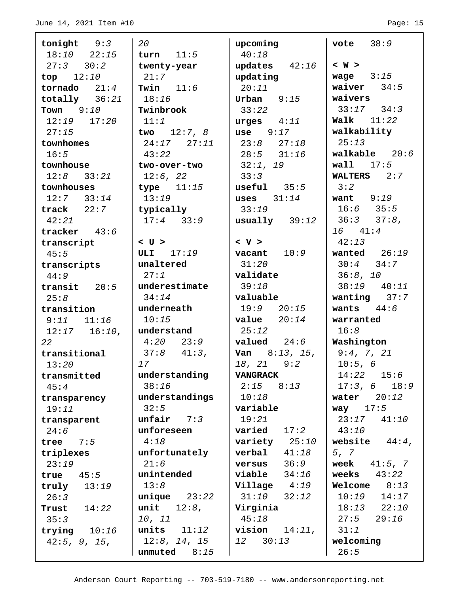| tonight 9:3               | 20               | upcoming               | 38:9<br>vote     |
|---------------------------|------------------|------------------------|------------------|
| $18:10$ $22:15$           | turn $11:5$      | 40:18                  |                  |
| $27:3$ $30:2$             | twenty-year      | updates $42:16$        | < W >            |
| top $12:10$               | 21:7             | updating               | wage $3:15$      |
| tornado $21:4$            | Twin $11:6$      | 20:11                  | waiver $34:5$    |
| totally $36:21$           | 18:16            | Urban $9:15$           | waivers          |
| <b>Town</b> 9:10          | Twinbrook        | 33:22                  | $33:17$ $34:3$   |
| $12:19$ $17:20$           | 11:1             | urges $4:11$           | Walk $11:22$     |
| 27:15                     | two $12:7, 8$    | use $9:17$             | walkability      |
| townhomes                 | $24:17$ $27:11$  | $23:8$ $27:18$         | 25:13            |
| 16:5                      | 43:22            | $28:5$ $31:16$         | walkable $20:6$  |
| townhouse                 | two-over-two     | 32:1, 19               | $wall$ $17:5$    |
| $12:8$ $33:21$            | 12:6, 22         | 33:3                   | WALTERS $2:7$    |
| townhouses                | type $11:15$     | $useful$ 35:5          | 3:2              |
| $12:7$ $33:14$            | 13:19            | uses $31:14$           | want $9:19$      |
| $\texttt{track}$ 22:7     | typically        | 33:19                  | $16:6$ $35:5$    |
| 42:21                     | $17:4$ $33:9$    | usually $39:12$        | $36:3$ $37:8$ ,  |
| $\texttt{tracker}$ $43:6$ |                  |                        | $16 \t 41:4$     |
| transcript                | < U >            | < V >                  | 42:13            |
| 45:5                      | ULI $17:19$      | vacant $10:9$          | wanted $26:19$   |
| transcripts               | unaltered        | 31:20                  | $30:4$ $34:7$    |
| 44:9                      | 27:1             | validate               | 36:8, 10         |
| transit $20:5$            | underestimate    | 39:18                  | $38:19$ $40:11$  |
| 25:8                      | 34:14            | valuable               | wanting $37:7$   |
| transition                | underneath       | 19:9 20:15             | wants $44:6$     |
| $9:11$ $11:16$            | 10:15            | value $20:14$          | warranted        |
| $12:17$ $16:10$ ,         | understand       | 25:12                  | 16:8             |
| 22                        | $4:20$ $23:9$    | $valued = 24:6$        | Washington       |
| transitional              | $37:8$ $41:3$ ,  | <b>Van</b> $8:13, 15,$ | 9:4, 7, 21       |
| 13:20                     | 17               | $18, 21$ 9:2           | 10:5, 6          |
| transmitted               | understanding    | <b>VANGRACK</b>        | 14:22<br>15:6    |
| 45:4                      | 38:16            | $2:15$ 8:13            | $17:3, 6$ 18:9   |
| transparency              | understandings   | 10:18                  | water $20:12$    |
| 19:11                     | 32:5             | variable               | way $17:5$       |
| transparent               | $unfair$ $7:3$   | 19:21                  | 23:17<br>41:10   |
| 24:6                      | unforeseen       | varied<br>17:2         | 43:10            |
| tree $7:5$                | 4:18             | variety $25:10$        | website $44:4$ , |
| triplexes                 | unfortunately    | $verbal$ $41:18$       | 5, 7             |
| 23:19                     | 21:6             | 36:9<br>versus         | week $41:5, 7$   |
| true $45:5$               | unintended       | viable<br>34:16        | weeks<br>43:22   |
| $\texttt{truly}$ 13:19    | 13:8             | Village 4:19           | Welcome $8:13$   |
| 26:3                      | $unique$ $23:22$ | $31:10$ $32:12$        | 10:19<br>14:17   |
| Trust $14:22$             | unit $12:8$ ,    | Virginia               | $18:13$ $22:10$  |
| 35:3                      | 10, 11           | 45:18                  | 27:5<br>29:16    |
| trying $10:16$            | units $11:12$    | vision $14:11$ ,       | 31:1             |
| 42:5, 9, 15,              | 12:8, 14, 15     | 30:13<br>12            | welcoming        |
|                           | unmuted $8:15$   |                        | 26:5             |